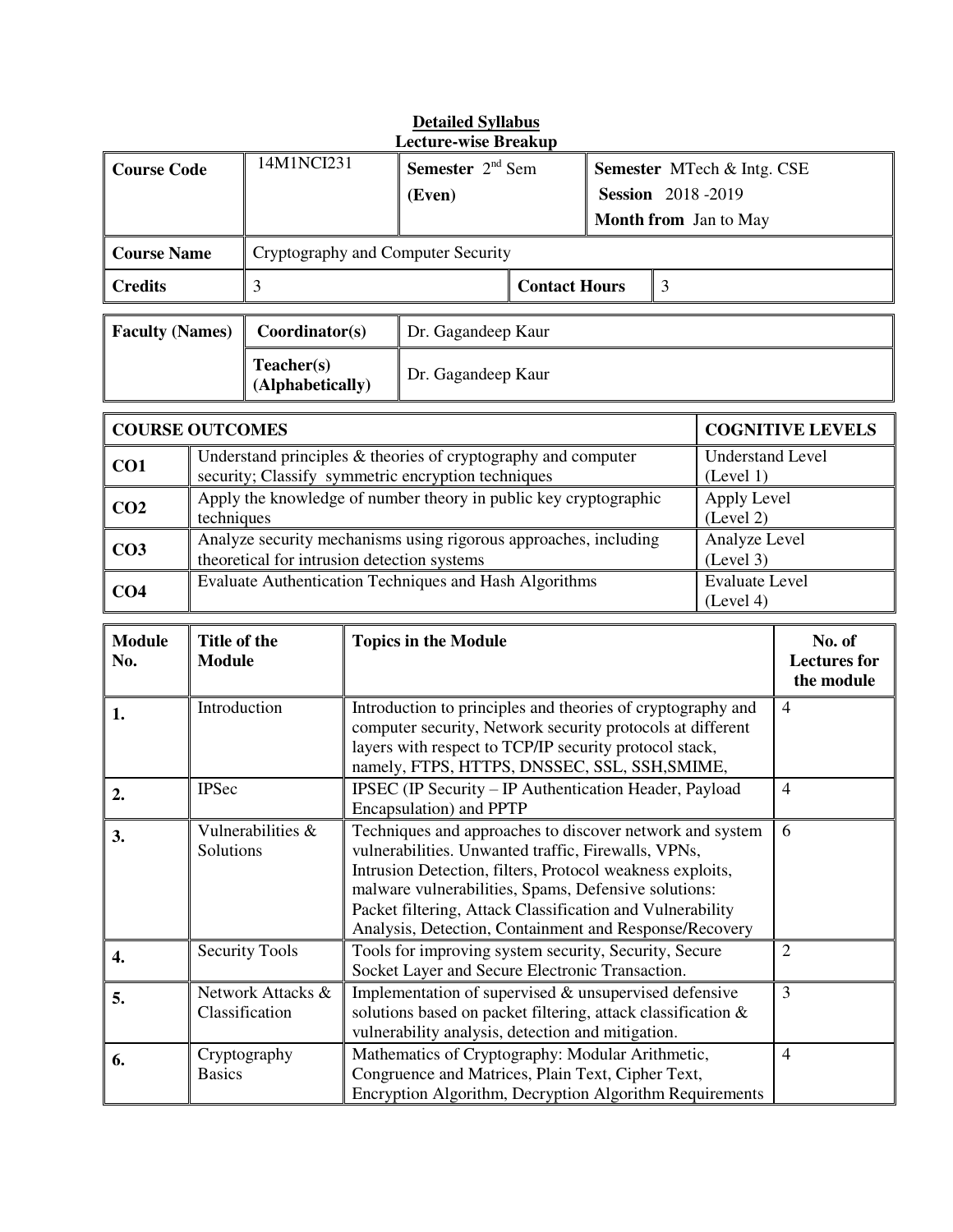| <b>Detailed Syllabus</b><br><b>Lecture-wise Breakup</b> |                               |                                     |                                                                                                                 |                                                                                                                                                                                                                                                                                                                                                             |                                                                                        |                            |                                      |                                             |
|---------------------------------------------------------|-------------------------------|-------------------------------------|-----------------------------------------------------------------------------------------------------------------|-------------------------------------------------------------------------------------------------------------------------------------------------------------------------------------------------------------------------------------------------------------------------------------------------------------------------------------------------------------|----------------------------------------------------------------------------------------|----------------------------|--------------------------------------|---------------------------------------------|
| <b>Course Code</b>                                      |                               | 14M1NCI231                          |                                                                                                                 | <b>Semester</b> $2nd$ Sem<br>(Even)                                                                                                                                                                                                                                                                                                                         | Semester MTech & Intg. CSE<br><b>Session</b> 2018-2019<br><b>Month from</b> Jan to May |                            |                                      |                                             |
| <b>Course Name</b>                                      |                               |                                     |                                                                                                                 | Cryptography and Computer Security                                                                                                                                                                                                                                                                                                                          |                                                                                        |                            |                                      |                                             |
| <b>Credits</b>                                          |                               | 3                                   |                                                                                                                 | <b>Contact Hours</b>                                                                                                                                                                                                                                                                                                                                        |                                                                                        | $\overline{3}$             |                                      |                                             |
| <b>Faculty (Names)</b>                                  |                               | Coordinator(s)                      |                                                                                                                 | Dr. Gagandeep Kaur                                                                                                                                                                                                                                                                                                                                          |                                                                                        |                            |                                      |                                             |
|                                                         |                               | Teacher(s)<br>(Alphabetically)      |                                                                                                                 | Dr. Gagandeep Kaur                                                                                                                                                                                                                                                                                                                                          |                                                                                        |                            |                                      |                                             |
| <b>COURSE OUTCOMES</b>                                  |                               |                                     |                                                                                                                 |                                                                                                                                                                                                                                                                                                                                                             |                                                                                        |                            |                                      | <b>COGNITIVE LEVELS</b>                     |
| CO1                                                     |                               |                                     |                                                                                                                 | Understand principles $\&$ theories of cryptography and computer<br>security; Classify symmetric encryption techniques                                                                                                                                                                                                                                      |                                                                                        |                            | <b>Understand Level</b><br>(Level 1) |                                             |
| CO <sub>2</sub>                                         | techniques                    |                                     |                                                                                                                 | Apply the knowledge of number theory in public key cryptographic                                                                                                                                                                                                                                                                                            |                                                                                        |                            | Apply Level<br>(Level 2)             |                                             |
| CO <sub>3</sub>                                         |                               |                                     | Analyze security mechanisms using rigorous approaches, including<br>theoretical for intrusion detection systems |                                                                                                                                                                                                                                                                                                                                                             |                                                                                        | Analyze Level<br>(Level 3) |                                      |                                             |
| CO <sub>4</sub>                                         |                               |                                     |                                                                                                                 | Evaluate Authentication Techniques and Hash Algorithms                                                                                                                                                                                                                                                                                                      |                                                                                        |                            | <b>Evaluate Level</b><br>(Level 4)   |                                             |
| <b>Module</b><br>No.                                    | Title of the<br><b>Module</b> |                                     |                                                                                                                 | <b>Topics in the Module</b>                                                                                                                                                                                                                                                                                                                                 |                                                                                        |                            |                                      | No. of<br><b>Lectures</b> for<br>the module |
|                                                         |                               |                                     |                                                                                                                 |                                                                                                                                                                                                                                                                                                                                                             |                                                                                        |                            |                                      |                                             |
| 1.                                                      | Introduction                  |                                     |                                                                                                                 | Introduction to principles and theories of cryptography and<br>computer security, Network security protocols at different<br>layers with respect to TCP/IP security protocol stack,                                                                                                                                                                         |                                                                                        |                            |                                      | $\overline{4}$                              |
| 2.                                                      | <b>IPSec</b>                  |                                     |                                                                                                                 | namely, FTPS, HTTPS, DNSSEC, SSL, SSH, SMIME,<br>IPSEC (IP Security - IP Authentication Header, Payload<br>Encapsulation) and PPTP                                                                                                                                                                                                                          |                                                                                        |                            |                                      | $\overline{4}$                              |
| 3.                                                      | Solutions                     | Vulnerabilities &                   |                                                                                                                 | Techniques and approaches to discover network and system<br>vulnerabilities. Unwanted traffic, Firewalls, VPNs,<br>Intrusion Detection, filters, Protocol weakness exploits,<br>malware vulnerabilities, Spams, Defensive solutions:<br>Packet filtering, Attack Classification and Vulnerability<br>Analysis, Detection, Containment and Response/Recovery |                                                                                        |                            |                                      | 6                                           |
| 4.                                                      |                               | <b>Security Tools</b>               |                                                                                                                 | Tools for improving system security, Security, Secure<br>Socket Layer and Secure Electronic Transaction.                                                                                                                                                                                                                                                    |                                                                                        |                            |                                      | $\overline{2}$                              |
| 5.                                                      |                               | Network Attacks &<br>Classification |                                                                                                                 | Implementation of supervised & unsupervised defensive<br>solutions based on packet filtering, attack classification &<br>vulnerability analysis, detection and mitigation.<br>Mathematics of Cryptography: Modular Arithmetic,                                                                                                                              |                                                                                        |                            |                                      | 3<br>$\overline{4}$                         |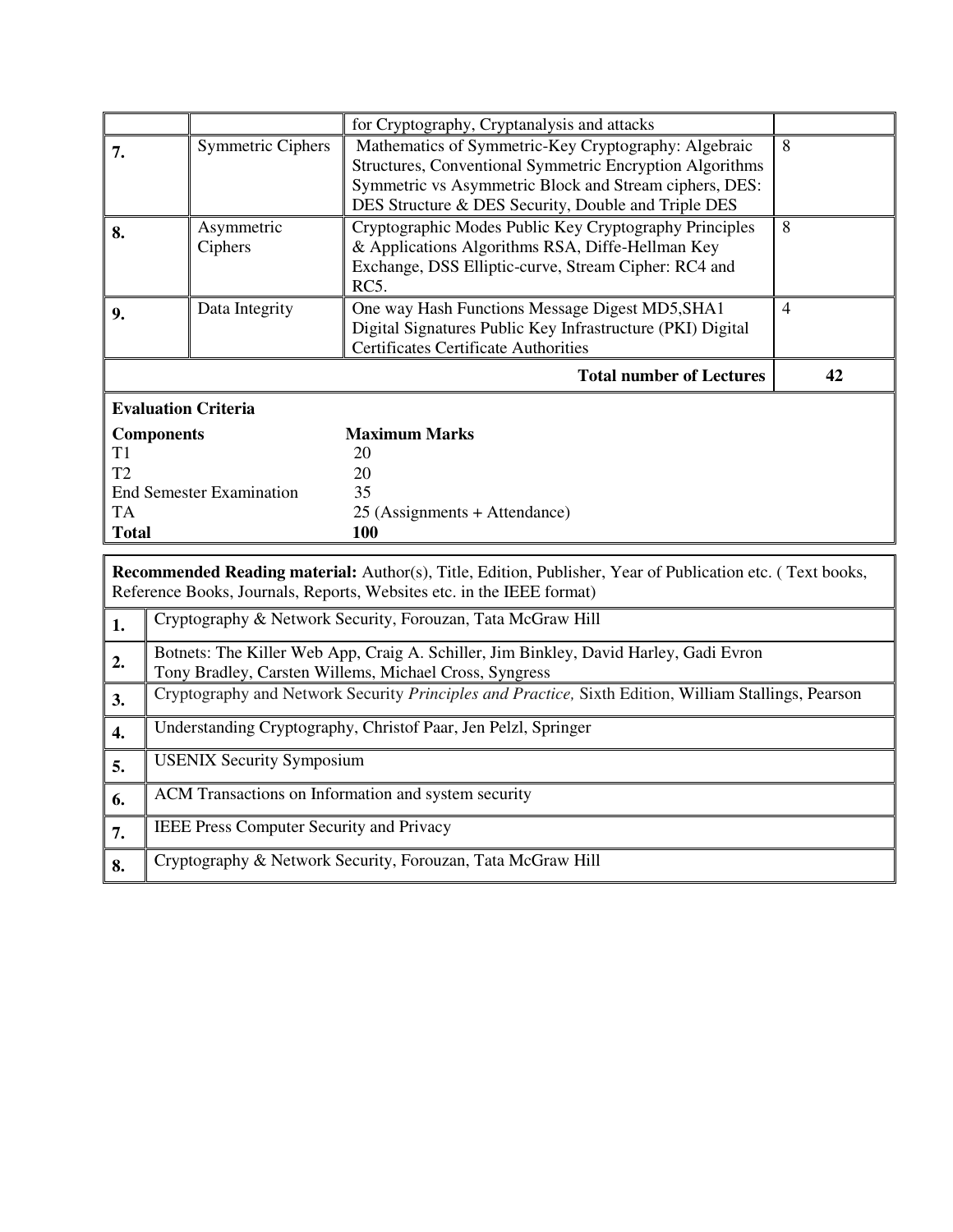|                            |                                 | for Cryptography, Cryptanalysis and attacks                                                                                                                                |                |  |  |
|----------------------------|---------------------------------|----------------------------------------------------------------------------------------------------------------------------------------------------------------------------|----------------|--|--|
| 7.                         | <b>Symmetric Ciphers</b>        | Mathematics of Symmetric-Key Cryptography: Algebraic                                                                                                                       | 8              |  |  |
|                            |                                 | Structures, Conventional Symmetric Encryption Algorithms<br>Symmetric vs Asymmetric Block and Stream ciphers, DES:                                                         |                |  |  |
|                            |                                 | DES Structure & DES Security, Double and Triple DES                                                                                                                        |                |  |  |
| 8.                         | Asymmetric<br>Ciphers           | Cryptographic Modes Public Key Cryptography Principles<br>& Applications Algorithms RSA, Diffe-Hellman Key<br>Exchange, DSS Elliptic-curve, Stream Cipher: RC4 and<br>RC5. | 8              |  |  |
| 9.                         | Data Integrity                  | One way Hash Functions Message Digest MD5, SHA1<br>Digital Signatures Public Key Infrastructure (PKI) Digital<br><b>Certificates Certificate Authorities</b>               | $\overline{4}$ |  |  |
|                            |                                 | <b>Total number of Lectures</b>                                                                                                                                            | 42             |  |  |
| <b>Evaluation Criteria</b> |                                 |                                                                                                                                                                            |                |  |  |
| <b>Components</b>          |                                 | <b>Maximum Marks</b>                                                                                                                                                       |                |  |  |
| T1                         |                                 | 20                                                                                                                                                                         |                |  |  |
| T2                         |                                 | 20                                                                                                                                                                         |                |  |  |
|                            | <b>End Semester Examination</b> | 35                                                                                                                                                                         |                |  |  |
| TA                         |                                 | 25 (Assignments + Attendance)                                                                                                                                              |                |  |  |
| <b>Total</b>               |                                 | <b>100</b>                                                                                                                                                                 |                |  |  |

|                  | <b>Recommended Reading material:</b> Author(s), Title, Edition, Publisher, Year of Publication etc. (Text books,<br>Reference Books, Journals, Reports, Websites etc. in the IEEE format) |  |  |  |  |  |
|------------------|-------------------------------------------------------------------------------------------------------------------------------------------------------------------------------------------|--|--|--|--|--|
| 1.               | Cryptography & Network Security, Forouzan, Tata McGraw Hill                                                                                                                               |  |  |  |  |  |
| 2.               | Botnets: The Killer Web App, Craig A. Schiller, Jim Binkley, David Harley, Gadi Evron<br>Tony Bradley, Carsten Willems, Michael Cross, Syngress                                           |  |  |  |  |  |
| 3.               | Cryptography and Network Security Principles and Practice, Sixth Edition, William Stallings, Pearson                                                                                      |  |  |  |  |  |
| $\overline{4}$ . | Understanding Cryptography, Christof Paar, Jen Pelzl, Springer                                                                                                                            |  |  |  |  |  |
| 5.               | <b>USENIX Security Symposium</b>                                                                                                                                                          |  |  |  |  |  |
| 6.               | ACM Transactions on Information and system security                                                                                                                                       |  |  |  |  |  |
| 7.               | <b>IEEE Press Computer Security and Privacy</b>                                                                                                                                           |  |  |  |  |  |
| 8.               | Cryptography & Network Security, Forouzan, Tata McGraw Hill                                                                                                                               |  |  |  |  |  |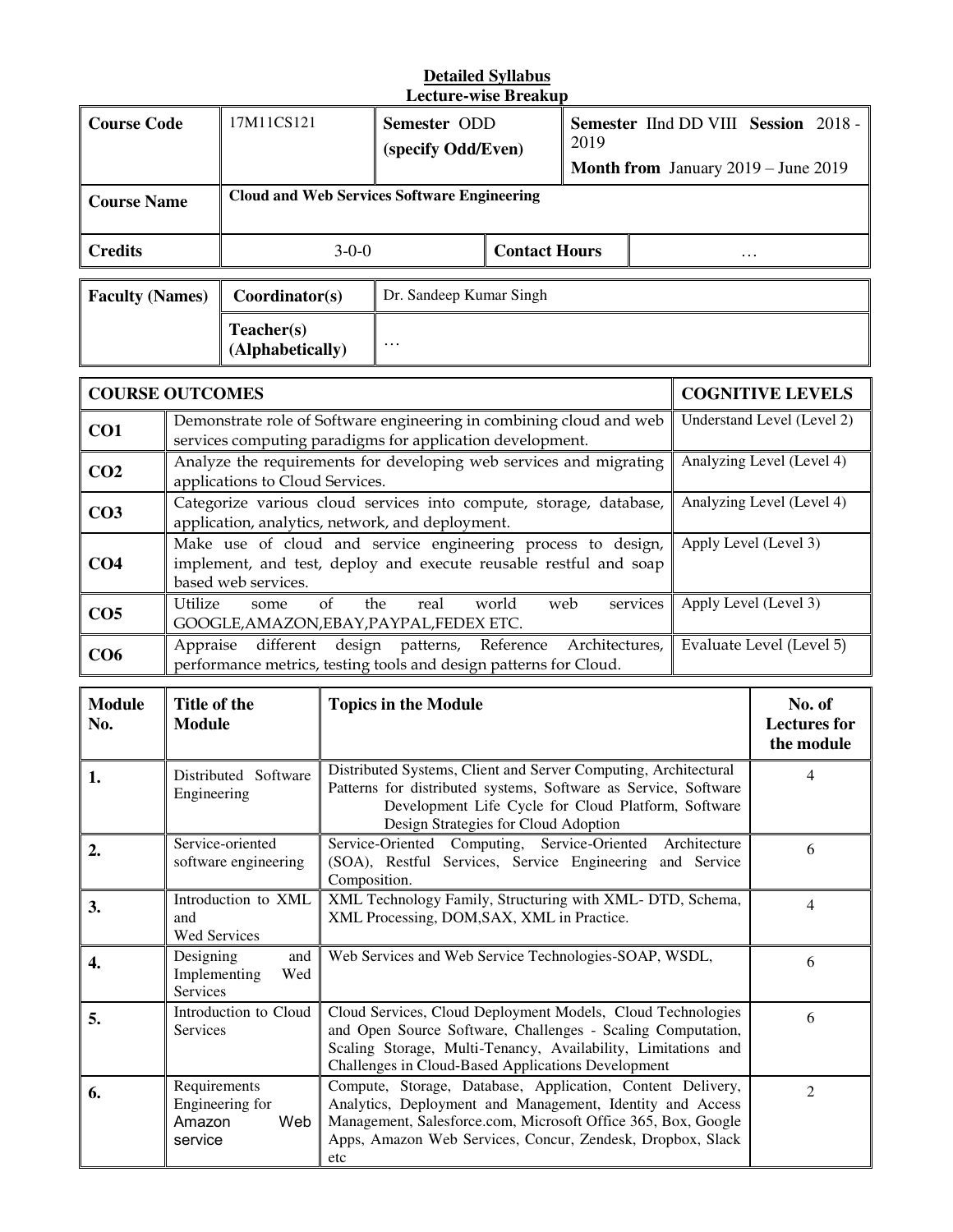#### **Detailed Syllabus Lecture-wise Breakup**

| <b>Course Code</b>     | 17M11CS121                     | Semester ODD<br>(specify Odd/Even)                 |                      | <b>Semester IInd DD VIII Session 2018 -</b><br>2019<br><b>Month from</b> January 2019 – June 2019 |   |  |
|------------------------|--------------------------------|----------------------------------------------------|----------------------|---------------------------------------------------------------------------------------------------|---|--|
| <b>Course Name</b>     |                                | <b>Cloud and Web Services Software Engineering</b> |                      |                                                                                                   |   |  |
| <b>Credits</b>         | $3-0-0$                        |                                                    | <b>Contact Hours</b> |                                                                                                   | . |  |
| <b>Faculty (Names)</b> | Coordinator(s)                 | Dr. Sandeep Kumar Singh                            |                      |                                                                                                   |   |  |
|                        | Teacher(s)<br>(Alphabetically) | $\cdots$                                           |                      |                                                                                                   |   |  |
|                        |                                |                                                    |                      |                                                                                                   |   |  |

|                 | <b>COURSE OUTCOMES</b><br><b>COGNITIVE LEVELS</b>                                                                                                        |                            |  |  |  |  |
|-----------------|----------------------------------------------------------------------------------------------------------------------------------------------------------|----------------------------|--|--|--|--|
| CO <sub>1</sub> | Demonstrate role of Software engineering in combining cloud and web<br>services computing paradigms for application development.                         | Understand Level (Level 2) |  |  |  |  |
| CO <sub>2</sub> | Analyze the requirements for developing web services and migrating<br>applications to Cloud Services.                                                    | Analyzing Level (Level 4)  |  |  |  |  |
| CO <sub>3</sub> | Categorize various cloud services into compute, storage, database,<br>application, analytics, network, and deployment.                                   | Analyzing Level (Level 4)  |  |  |  |  |
| CO <sub>4</sub> | Make use of cloud and service engineering process to design,<br>implement, and test, deploy and execute reusable restful and soap<br>based web services. | Apply Level (Level 3)      |  |  |  |  |
| CO <sub>5</sub> | Utilize<br>services<br>the<br>real world<br>web<br>of<br>some<br>GOOGLE, AMAZON, EBAY, PAYPAL, FEDEX ETC.                                                | Apply Level (Level 3)      |  |  |  |  |
| CO <sub>6</sub> | different design patterns, Reference Architectures,<br>Appraise<br>performance metrics, testing tools and design patterns for Cloud.                     | Evaluate Level (Level 5)   |  |  |  |  |

| <b>Module</b><br>No. | Title of the<br><b>Module</b>                               | <b>Topics in the Module</b>                                                                                                                                                                                                                                   | No. of<br><b>Lectures</b> for<br>the module |
|----------------------|-------------------------------------------------------------|---------------------------------------------------------------------------------------------------------------------------------------------------------------------------------------------------------------------------------------------------------------|---------------------------------------------|
| 1.                   | Distributed Software<br>Engineering                         | Distributed Systems, Client and Server Computing, Architectural<br>Patterns for distributed systems, Software as Service, Software<br>Development Life Cycle for Cloud Platform, Software<br>Design Strategies for Cloud Adoption                             | 4                                           |
| 2.                   | Service-oriented<br>software engineering                    | Service-Oriented Computing, Service-Oriented Architecture<br>(SOA), Restful Services, Service Engineering and Service<br>Composition.                                                                                                                         | 6                                           |
| 3.                   | Introduction to XML<br>and<br><b>Wed Services</b>           | XML Technology Family, Structuring with XML-DTD, Schema,<br>XML Processing, DOM, SAX, XML in Practice.                                                                                                                                                        | 4                                           |
| 4.                   | Designing<br>and<br>Implementing<br>Wed<br><b>Services</b>  | Web Services and Web Service Technologies-SOAP, WSDL,                                                                                                                                                                                                         | 6                                           |
| 5.                   | Introduction to Cloud<br><b>Services</b>                    | Cloud Services, Cloud Deployment Models, Cloud Technologies<br>and Open Source Software, Challenges - Scaling Computation,<br>Scaling Storage, Multi-Tenancy, Availability, Limitations and<br>Challenges in Cloud-Based Applications Development             | 6                                           |
| 6.                   | Requirements<br>Engineering for<br>Web<br>Amazon<br>service | Compute, Storage, Database, Application, Content Delivery,<br>Analytics, Deployment and Management, Identity and Access<br>Management, Salesforce.com, Microsoft Office 365, Box, Google<br>Apps, Amazon Web Services, Concur, Zendesk, Dropbox, Slack<br>etc | $\mathfrak{D}$                              |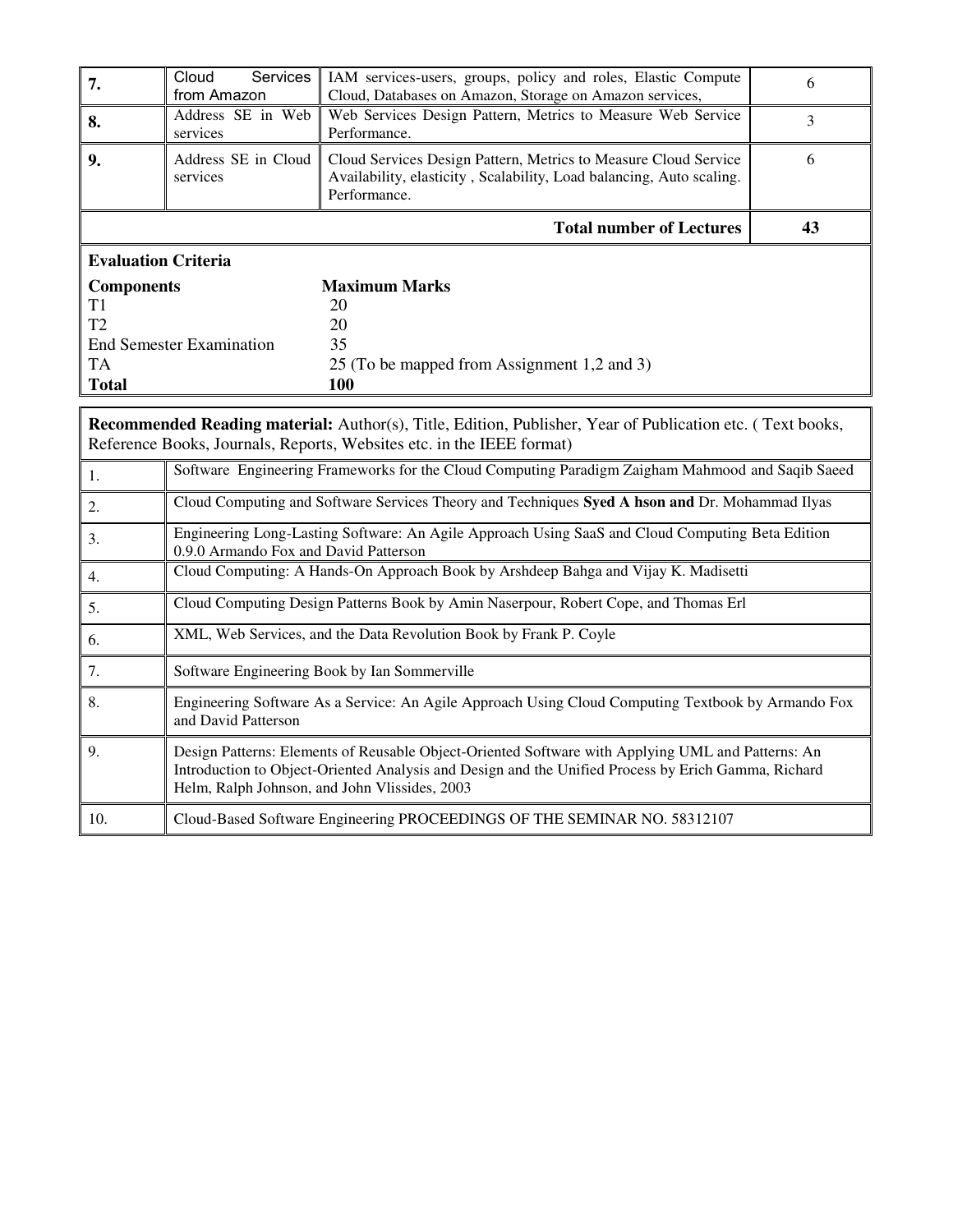| 7.                                                                     | Cloud<br>Services<br>from Amazon                                                                                                                                                                                                                          | IAM services-users, groups, policy and roles, Elastic Compute<br>Cloud, Databases on Amazon, Storage on Amazon services,                                                           | 6  |  |  |
|------------------------------------------------------------------------|-----------------------------------------------------------------------------------------------------------------------------------------------------------------------------------------------------------------------------------------------------------|------------------------------------------------------------------------------------------------------------------------------------------------------------------------------------|----|--|--|
| 8.                                                                     | Address SE in Web<br>services                                                                                                                                                                                                                             | Web Services Design Pattern, Metrics to Measure Web Service<br>Performance.                                                                                                        | 3  |  |  |
| 9.                                                                     | Address SE in Cloud<br>services                                                                                                                                                                                                                           | Cloud Services Design Pattern, Metrics to Measure Cloud Service<br>Availability, elasticity, Scalability, Load balancing, Auto scaling.<br>Performance.                            | 6  |  |  |
|                                                                        |                                                                                                                                                                                                                                                           | <b>Total number of Lectures</b>                                                                                                                                                    | 43 |  |  |
| <b>Evaluation Criteria</b>                                             |                                                                                                                                                                                                                                                           |                                                                                                                                                                                    |    |  |  |
| <b>Components</b><br>T1<br>T <sub>2</sub><br><b>TA</b><br><b>Total</b> | <b>End Semester Examination</b>                                                                                                                                                                                                                           | <b>Maximum Marks</b><br>20<br>20<br>35<br>25 (To be mapped from Assignment 1,2 and 3)<br>100                                                                                       |    |  |  |
|                                                                        |                                                                                                                                                                                                                                                           | Recommended Reading material: Author(s), Title, Edition, Publisher, Year of Publication etc. (Text books,<br>Reference Books, Journals, Reports, Websites etc. in the IEEE format) |    |  |  |
| 1.                                                                     | Software Engineering Frameworks for the Cloud Computing Paradigm Zaigham Mahmood and Saqib Saeed                                                                                                                                                          |                                                                                                                                                                                    |    |  |  |
| 2.                                                                     |                                                                                                                                                                                                                                                           | Cloud Computing and Software Services Theory and Techniques Syed A hson and Dr. Mohammad Ilyas                                                                                     |    |  |  |
| 3.                                                                     | 0.9.0 Armando Fox and David Patterson                                                                                                                                                                                                                     | Engineering Long-Lasting Software: An Agile Approach Using SaaS and Cloud Computing Beta Edition                                                                                   |    |  |  |
| $\overline{4}$ .                                                       |                                                                                                                                                                                                                                                           | Cloud Computing: A Hands-On Approach Book by Arshdeep Bahga and Vijay K. Madisetti                                                                                                 |    |  |  |
| 5.                                                                     |                                                                                                                                                                                                                                                           | Cloud Computing Design Patterns Book by Amin Naserpour, Robert Cope, and Thomas Erl                                                                                                |    |  |  |
| 6.                                                                     |                                                                                                                                                                                                                                                           | XML, Web Services, and the Data Revolution Book by Frank P. Coyle                                                                                                                  |    |  |  |
| 7.                                                                     |                                                                                                                                                                                                                                                           | Software Engineering Book by Ian Sommerville                                                                                                                                       |    |  |  |
| 8.                                                                     | Engineering Software As a Service: An Agile Approach Using Cloud Computing Textbook by Armando Fox<br>and David Patterson                                                                                                                                 |                                                                                                                                                                                    |    |  |  |
| 9.                                                                     | Design Patterns: Elements of Reusable Object-Oriented Software with Applying UML and Patterns: An<br>Introduction to Object-Oriented Analysis and Design and the Unified Process by Erich Gamma, Richard<br>Helm, Ralph Johnson, and John Vlissides, 2003 |                                                                                                                                                                                    |    |  |  |
| 10.                                                                    |                                                                                                                                                                                                                                                           | Cloud-Based Software Engineering PROCEEDINGS OF THE SEMINAR NO. 58312107                                                                                                           |    |  |  |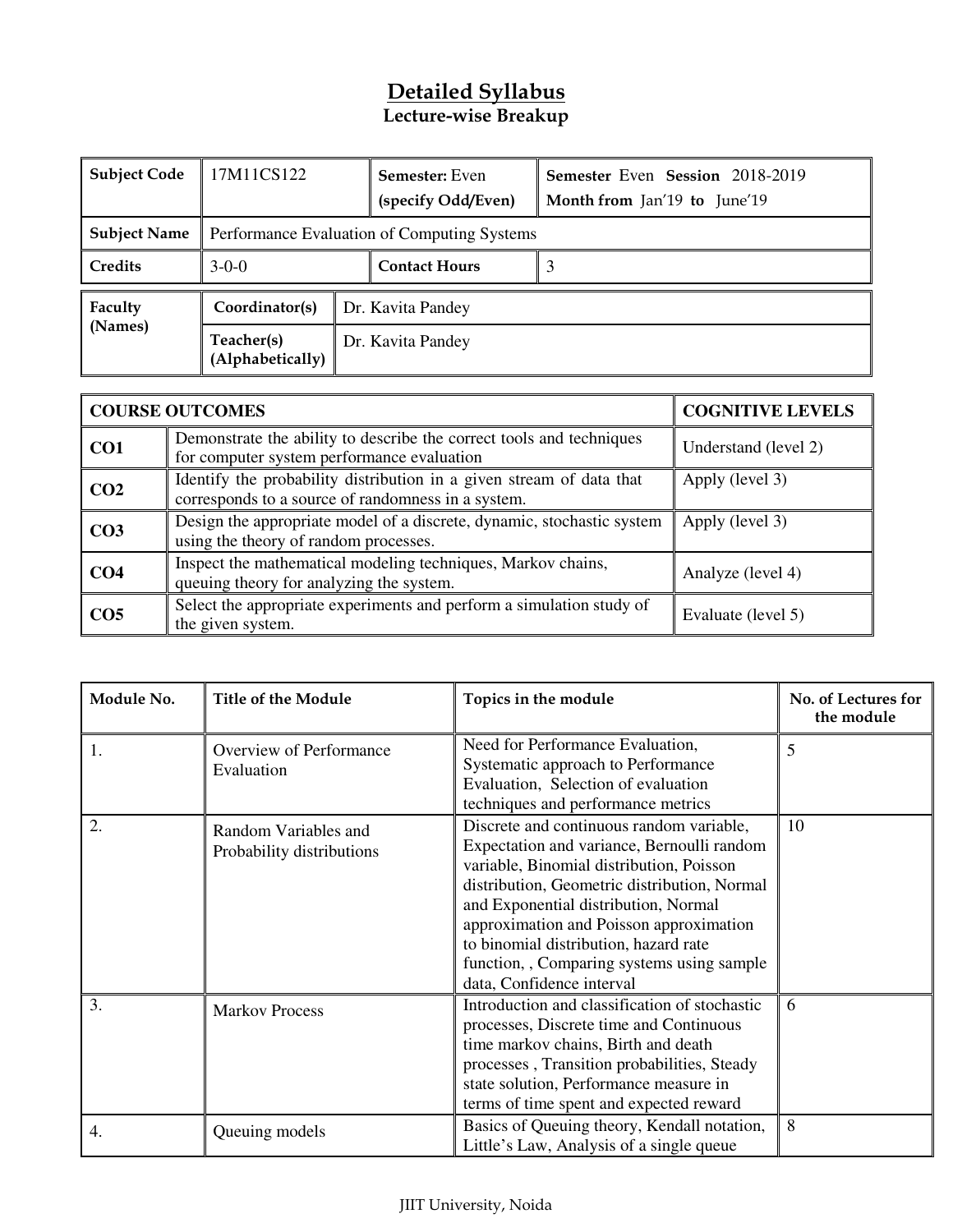## **Detailed Syllabus Lecture-wise Breakup**

| <b>Subject Code</b> | 17M11CS122                     |  | <b>Semester:</b> Even<br>(specify Odd/Even) | Semester Even Session 2018-2019<br>Month from Jan'19 to June'19 |  |
|---------------------|--------------------------------|--|---------------------------------------------|-----------------------------------------------------------------|--|
| <b>Subject Name</b> |                                |  | Performance Evaluation of Computing Systems |                                                                 |  |
| Credits             | $3-0-0$                        |  | <b>Contact Hours</b>                        |                                                                 |  |
| Faculty             | Coordinator(s)                 |  | Dr. Kavita Pandey                           |                                                                 |  |
| (Names)             | Teacher(s)<br>(Alphabetically) |  | Dr. Kavita Pandey                           |                                                                 |  |

|                 | <b>COURSE OUTCOMES</b>                                                                                                     | <b>COGNITIVE LEVELS</b> |
|-----------------|----------------------------------------------------------------------------------------------------------------------------|-------------------------|
| CO <sub>1</sub> | Demonstrate the ability to describe the correct tools and techniques<br>for computer system performance evaluation         | Understand (level 2)    |
| CO <sub>2</sub> | Identify the probability distribution in a given stream of data that<br>corresponds to a source of randomness in a system. | Apply (level 3)         |
| CO <sub>3</sub> | Design the appropriate model of a discrete, dynamic, stochastic system<br>using the theory of random processes.            | Apply (level 3)         |
| CO <sub>4</sub> | Inspect the mathematical modeling techniques, Markov chains,<br>queuing theory for analyzing the system.                   | Analyze (level 4)       |
| CO <sub>5</sub> | Select the appropriate experiments and perform a simulation study of<br>the given system.                                  | Evaluate (level 5)      |

| Module No. | <b>Title of the Module</b>                        | Topics in the module                                                                                                                                                                                                                                                                                                                                                                    | No. of Lectures for<br>the module |
|------------|---------------------------------------------------|-----------------------------------------------------------------------------------------------------------------------------------------------------------------------------------------------------------------------------------------------------------------------------------------------------------------------------------------------------------------------------------------|-----------------------------------|
| 1.         | Overview of Performance<br>Evaluation             | Need for Performance Evaluation,<br>Systematic approach to Performance<br>Evaluation, Selection of evaluation<br>techniques and performance metrics                                                                                                                                                                                                                                     | 5                                 |
| 2.         | Random Variables and<br>Probability distributions | Discrete and continuous random variable,<br>Expectation and variance, Bernoulli random<br>variable, Binomial distribution, Poisson<br>distribution, Geometric distribution, Normal<br>and Exponential distribution, Normal<br>approximation and Poisson approximation<br>to binomial distribution, hazard rate<br>function, Comparing systems using sample<br>data, Confidence interval | 10                                |
| 3.         | <b>Markov Process</b>                             | Introduction and classification of stochastic<br>processes, Discrete time and Continuous<br>time markov chains, Birth and death<br>processes, Transition probabilities, Steady<br>state solution, Performance measure in<br>terms of time spent and expected reward                                                                                                                     | 6                                 |
| 4.         | Queuing models                                    | Basics of Queuing theory, Kendall notation,<br>Little's Law, Analysis of a single queue                                                                                                                                                                                                                                                                                                 | 8                                 |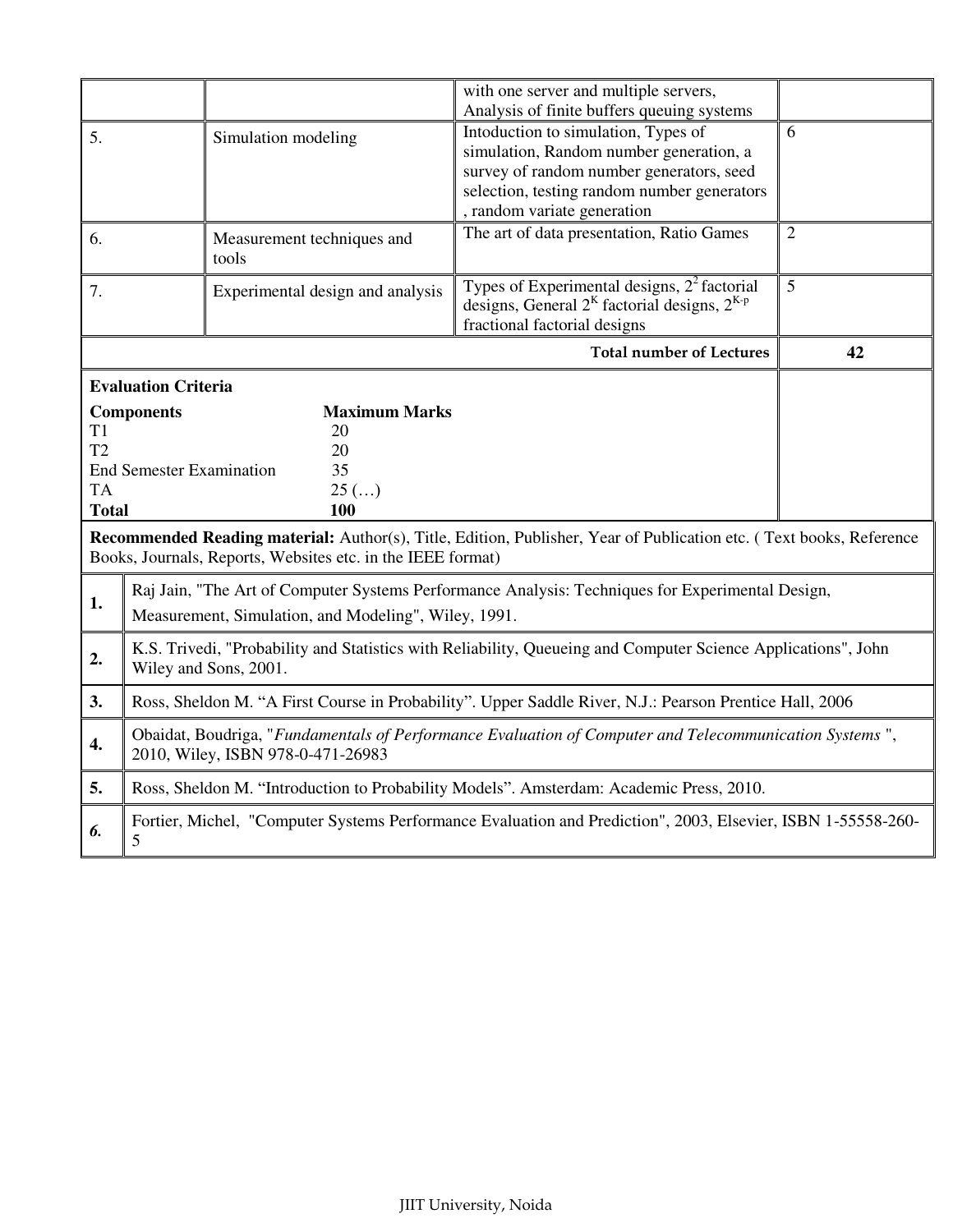|                                                                                                                                                                                                     |                                                                                                                                             |                                                             | with one server and multiple servers,<br>Analysis of finite buffers queuing systems                                                                                                                      |                |  |  |
|-----------------------------------------------------------------------------------------------------------------------------------------------------------------------------------------------------|---------------------------------------------------------------------------------------------------------------------------------------------|-------------------------------------------------------------|----------------------------------------------------------------------------------------------------------------------------------------------------------------------------------------------------------|----------------|--|--|
| 5.                                                                                                                                                                                                  |                                                                                                                                             | Simulation modeling                                         | Intoduction to simulation, Types of<br>simulation, Random number generation, a<br>survey of random number generators, seed<br>selection, testing random number generators<br>, random variate generation | 6              |  |  |
| 6.                                                                                                                                                                                                  |                                                                                                                                             | Measurement techniques and<br>tools                         | The art of data presentation, Ratio Games                                                                                                                                                                | $\overline{2}$ |  |  |
| 7.                                                                                                                                                                                                  |                                                                                                                                             | Experimental design and analysis                            | Types of Experimental designs, $22$ factorial<br>designs, General $2^{K}$ factorial designs, $2^{K-p}$<br>fractional factorial designs                                                                   | 5              |  |  |
|                                                                                                                                                                                                     |                                                                                                                                             |                                                             | <b>Total number of Lectures</b>                                                                                                                                                                          | 42             |  |  |
| <b>Evaluation Criteria</b><br><b>Components</b><br><b>Maximum Marks</b><br>T1<br>20<br>T <sub>2</sub><br>20<br><b>End Semester Examination</b><br>35<br><b>TA</b><br>$25$ ()<br><b>Total</b><br>100 |                                                                                                                                             |                                                             |                                                                                                                                                                                                          |                |  |  |
|                                                                                                                                                                                                     |                                                                                                                                             | Books, Journals, Reports, Websites etc. in the IEEE format) | Recommended Reading material: Author(s), Title, Edition, Publisher, Year of Publication etc. (Text books, Reference                                                                                      |                |  |  |
| 1.                                                                                                                                                                                                  |                                                                                                                                             | Measurement, Simulation, and Modeling", Wiley, 1991.        | Raj Jain, "The Art of Computer Systems Performance Analysis: Techniques for Experimental Design,                                                                                                         |                |  |  |
| 2.                                                                                                                                                                                                  |                                                                                                                                             | Wiley and Sons, 2001.                                       | K.S. Trivedi, "Probability and Statistics with Reliability, Queueing and Computer Science Applications", John                                                                                            |                |  |  |
| 3.                                                                                                                                                                                                  |                                                                                                                                             |                                                             | Ross, Sheldon M. "A First Course in Probability". Upper Saddle River, N.J.: Pearson Prentice Hall, 2006                                                                                                  |                |  |  |
| 4.                                                                                                                                                                                                  | Obaidat, Boudriga, "Fundamentals of Performance Evaluation of Computer and Telecommunication Systems",<br>2010, Wiley, ISBN 978-0-471-26983 |                                                             |                                                                                                                                                                                                          |                |  |  |
| 5.                                                                                                                                                                                                  |                                                                                                                                             |                                                             | Ross, Sheldon M. "Introduction to Probability Models". Amsterdam: Academic Press, 2010.                                                                                                                  |                |  |  |
| 6.                                                                                                                                                                                                  | 5                                                                                                                                           |                                                             | Fortier, Michel, "Computer Systems Performance Evaluation and Prediction", 2003, Elsevier, ISBN 1-55558-260-                                                                                             |                |  |  |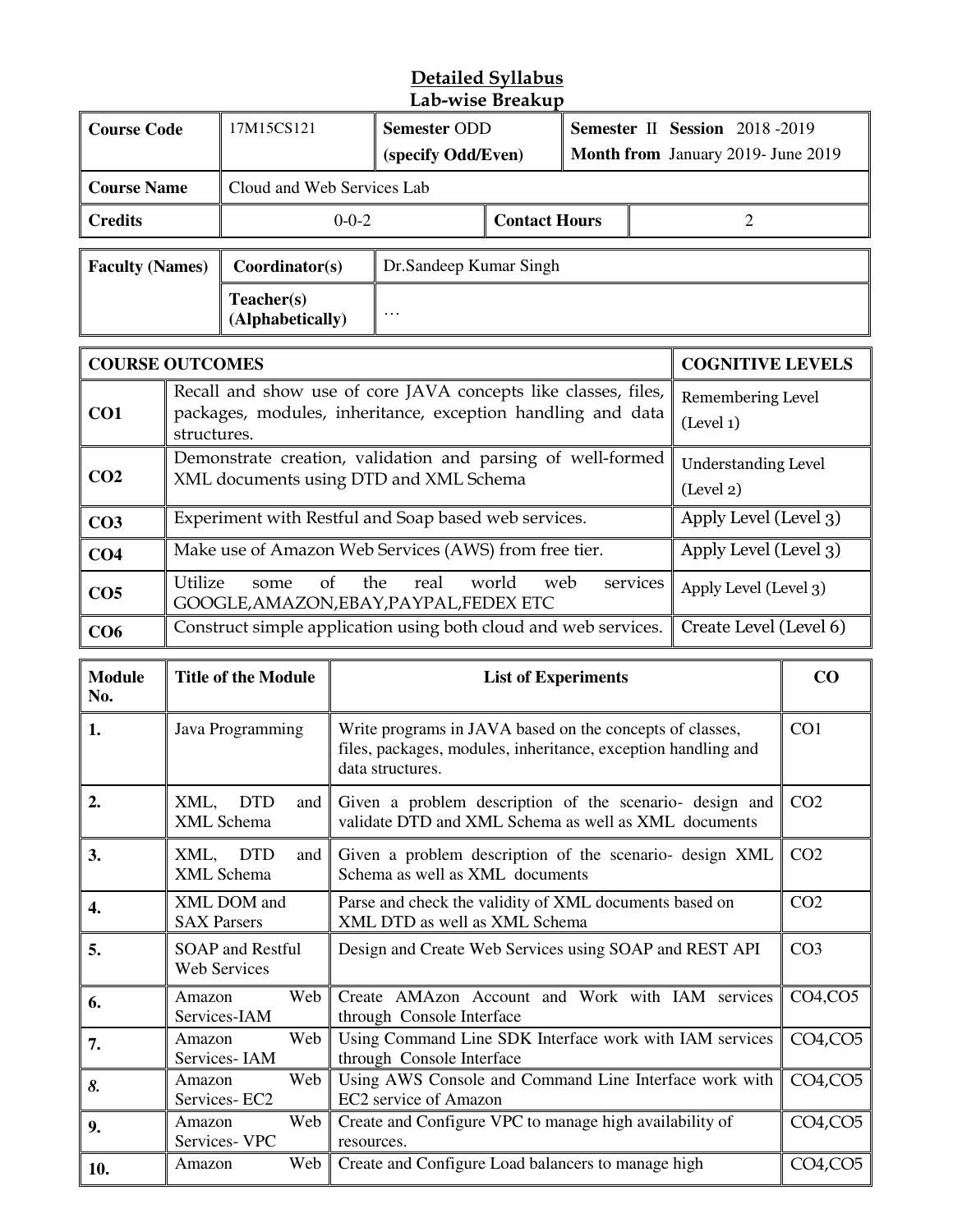#### **Detailed Syllabus Lab-wise Breakup**

|                        |                                                                                                                                                  |                                                                                                                                                                   |                     | Lab-wise breakup                                                                                                              |                            |                                    |          |                                |                 |
|------------------------|--------------------------------------------------------------------------------------------------------------------------------------------------|-------------------------------------------------------------------------------------------------------------------------------------------------------------------|---------------------|-------------------------------------------------------------------------------------------------------------------------------|----------------------------|------------------------------------|----------|--------------------------------|-----------------|
| <b>Course Code</b>     |                                                                                                                                                  | 17M15CS121                                                                                                                                                        | <b>Semester ODD</b> |                                                                                                                               |                            |                                    |          | Semester II Session 2018-2019  |                 |
|                        |                                                                                                                                                  |                                                                                                                                                                   | (specify Odd/Even)  |                                                                                                                               |                            | Month from January 2019- June 2019 |          |                                |                 |
| <b>Course Name</b>     |                                                                                                                                                  | Cloud and Web Services Lab                                                                                                                                        |                     |                                                                                                                               |                            |                                    |          |                                |                 |
| <b>Credits</b>         |                                                                                                                                                  |                                                                                                                                                                   | $0 - 0 - 2$         |                                                                                                                               | <b>Contact Hours</b>       |                                    |          | $\overline{2}$                 |                 |
| <b>Faculty (Names)</b> |                                                                                                                                                  | Coordinator(s)                                                                                                                                                    |                     | Dr.Sandeep Kumar Singh                                                                                                        |                            |                                    |          |                                |                 |
|                        |                                                                                                                                                  | Teacher(s)<br>(Alphabetically)                                                                                                                                    |                     |                                                                                                                               |                            |                                    |          |                                |                 |
| <b>COURSE OUTCOMES</b> |                                                                                                                                                  |                                                                                                                                                                   |                     |                                                                                                                               |                            |                                    |          | <b>COGNITIVE LEVELS</b>        |                 |
| CO1                    | structures.                                                                                                                                      |                                                                                                                                                                   |                     | Recall and show use of core JAVA concepts like classes, files,<br>packages, modules, inheritance, exception handling and data |                            |                                    |          | Remembering Level<br>(Level 1) |                 |
| CO <sub>2</sub>        | Demonstrate creation, validation and parsing of well-formed<br><b>Understanding Level</b><br>XML documents using DTD and XML Schema<br>(Level 2) |                                                                                                                                                                   |                     |                                                                                                                               |                            |                                    |          |                                |                 |
| CO <sub>3</sub>        |                                                                                                                                                  |                                                                                                                                                                   |                     | Experiment with Restful and Soap based web services.                                                                          |                            |                                    |          | Apply Level (Level 3)          |                 |
| CO <sub>4</sub>        |                                                                                                                                                  |                                                                                                                                                                   |                     | Make use of Amazon Web Services (AWS) from free tier.                                                                         |                            |                                    |          | Apply Level (Level 3)          |                 |
| CO <sub>5</sub>        | Utilize                                                                                                                                          | $\sigma$<br>some                                                                                                                                                  |                     | the<br>real<br>GOOGLE, AMAZON, EBAY, PAYPAL, FEDEX ETC                                                                        | world<br>web               |                                    | services | Apply Level (Level 3)          |                 |
| CO6                    |                                                                                                                                                  |                                                                                                                                                                   |                     | Construct simple application using both cloud and web services.                                                               |                            |                                    |          | Create Level (Level 6)         |                 |
| <b>Module</b><br>No.   |                                                                                                                                                  | <b>Title of the Module</b>                                                                                                                                        |                     |                                                                                                                               | <b>List of Experiments</b> |                                    |          |                                | CO              |
| 1.                     |                                                                                                                                                  | Java Programming<br>Write programs in JAVA based on the concepts of classes,<br>files, packages, modules, inheritance, exception handling and<br>data structures. |                     |                                                                                                                               |                            |                                    | CO1      |                                |                 |
| 2.                     |                                                                                                                                                  | XML, DTD<br>and  <br>XML Schema                                                                                                                                   |                     | Given a problem description of the scenario- design and<br>validate DTD and XML Schema as well as XML documents               |                            |                                    |          |                                | CO <sub>2</sub> |
| 3.                     | XML,                                                                                                                                             | <b>DTD</b><br>and<br>XML Schema                                                                                                                                   |                     | Given a problem description of the scenario- design XML<br>Schema as well as XML documents                                    |                            |                                    |          |                                | CO <sub>2</sub> |
| 4.                     | <b>SAX Parsers</b>                                                                                                                               | XML DOM and                                                                                                                                                       |                     | Parse and check the validity of XML documents based on<br>XML DTD as well as XML Schema                                       |                            |                                    |          |                                | CO <sub>2</sub> |

| 4.  | <b>SAX Parsers</b>               |       | I also and check the validity of <i>f</i> urth documents based on<br>XML DTD as well as XML Schema | ◡◡▵                               |
|-----|----------------------------------|-------|----------------------------------------------------------------------------------------------------|-----------------------------------|
| 5.  | SOAP and Restful<br>Web Services |       | Design and Create Web Services using SOAP and REST API                                             | CO <sub>3</sub>                   |
| 6.  | Amazon<br>Services-IAM           | Web I | Create AMAzon Account and Work with IAM services<br>through Console Interface                      | CO4, CO5                          |
| 7.  | Amazon<br>Services-IAM           |       | Web Using Command Line SDK Interface work with IAM services<br>through Console Interface           | CO <sub>4</sub> , CO <sub>5</sub> |
| 8.  | Amazon<br>Services-EC2           |       | Web    Using AWS Console and Command Line Interface work with<br>EC2 service of Amazon             | CO <sub>4</sub> , CO <sub>5</sub> |
| 9.  | Amazon<br>Services- VPC          |       | Web   Create and Configure VPC to manage high availability of<br>resources.                        | CO4, CO5                          |
| 10. | Amazon                           | Web∣  | Create and Configure Load balancers to manage high                                                 | CO4, CO5                          |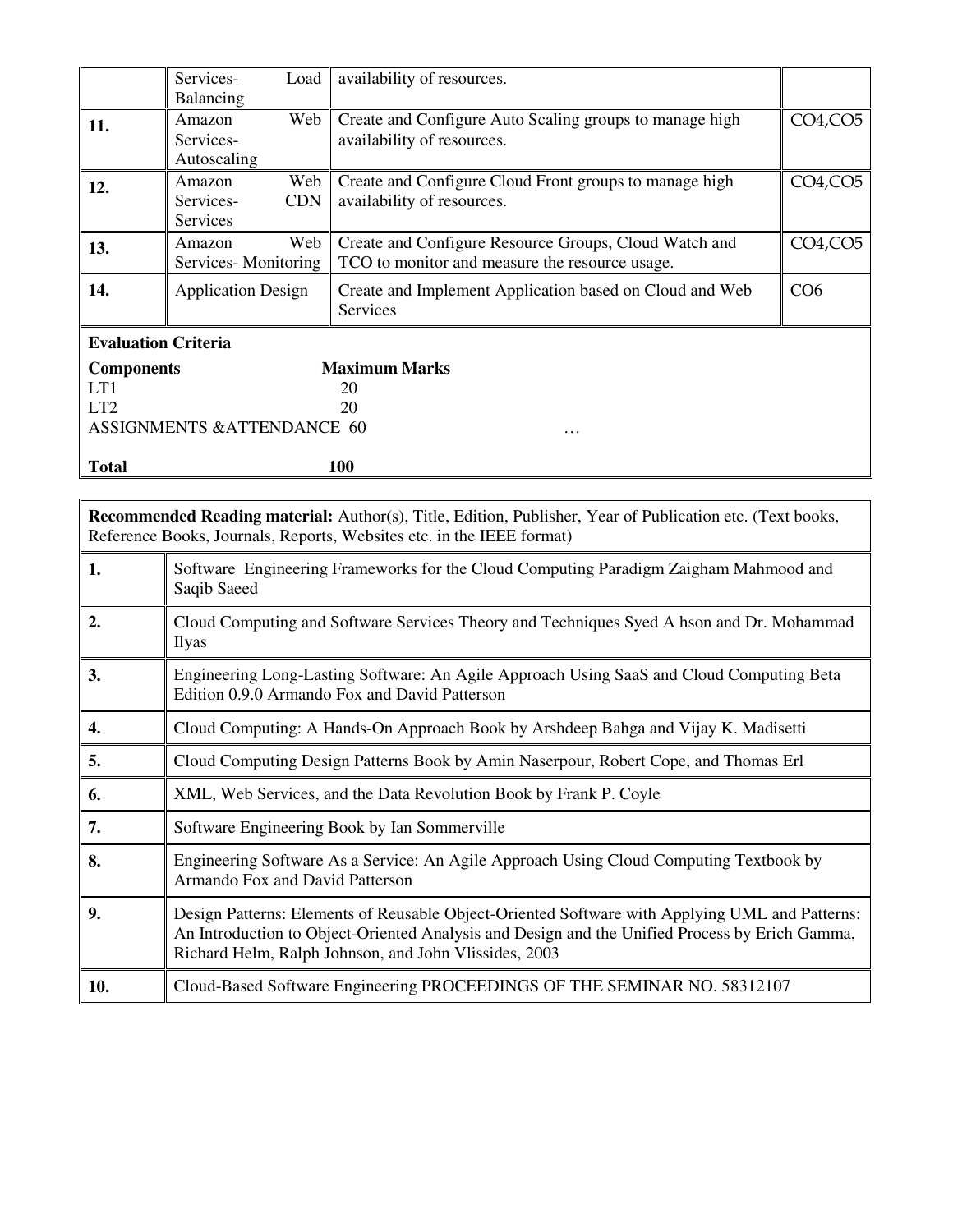|                                                                                                                                                                                           | Services-<br>Load<br>Balancing                       | availability of resources.                                                                              |               |  |  |  |
|-------------------------------------------------------------------------------------------------------------------------------------------------------------------------------------------|------------------------------------------------------|---------------------------------------------------------------------------------------------------------|---------------|--|--|--|
| 11.                                                                                                                                                                                       | Web<br>Amazon<br>Services-<br>Autoscaling            | Create and Configure Auto Scaling groups to manage high<br>availability of resources.                   | CO4, CO5      |  |  |  |
| 12.                                                                                                                                                                                       | Web<br>Amazon<br><b>CDN</b><br>Services-<br>Services | Create and Configure Cloud Front groups to manage high<br>availability of resources.                    | $CO4$ , $CO5$ |  |  |  |
| 13.                                                                                                                                                                                       | Amazon<br>Web<br>Services-Monitoring                 | Create and Configure Resource Groups, Cloud Watch and<br>TCO to monitor and measure the resource usage. | $CO4$ , $CO5$ |  |  |  |
| 14.                                                                                                                                                                                       | <b>Application Design</b>                            | Create and Implement Application based on Cloud and Web<br>Services                                     | CO6           |  |  |  |
| <b>Evaluation Criteria</b><br><b>Maximum Marks</b><br><b>Components</b><br>LT1<br>20<br>LT <sub>2</sub><br>20<br><b>ASSIGNMENTS &amp;ATTENDANCE 60</b><br>.<br><b>Total</b><br>100        |                                                      |                                                                                                         |               |  |  |  |
|                                                                                                                                                                                           |                                                      |                                                                                                         |               |  |  |  |
| <b>Recommended Reading material:</b> Author(s), Title, Edition, Publisher, Year of Publication etc. (Text books,<br>Reference Books, Journals, Reports, Websites etc. in the IEEE format) |                                                      |                                                                                                         |               |  |  |  |

| 1.  | Software Engineering Frameworks for the Cloud Computing Paradigm Zaigham Mahmood and<br>Saqib Saeed                                                                                                                                                       |
|-----|-----------------------------------------------------------------------------------------------------------------------------------------------------------------------------------------------------------------------------------------------------------|
| 2.  | Cloud Computing and Software Services Theory and Techniques Syed A hson and Dr. Mohammad<br><b>Ilyas</b>                                                                                                                                                  |
| 3.  | Engineering Long-Lasting Software: An Agile Approach Using SaaS and Cloud Computing Beta<br>Edition 0.9.0 Armando Fox and David Patterson                                                                                                                 |
| 4.  | Cloud Computing: A Hands-On Approach Book by Arshdeep Bahga and Vijay K. Madisetti                                                                                                                                                                        |
| 5.  | Cloud Computing Design Patterns Book by Amin Naserpour, Robert Cope, and Thomas Erl                                                                                                                                                                       |
| 6.  | XML, Web Services, and the Data Revolution Book by Frank P. Coyle                                                                                                                                                                                         |
| 7.  | Software Engineering Book by Ian Sommerville                                                                                                                                                                                                              |
| 8.  | Engineering Software As a Service: An Agile Approach Using Cloud Computing Textbook by<br>Armando Fox and David Patterson                                                                                                                                 |
| 9.  | Design Patterns: Elements of Reusable Object-Oriented Software with Applying UML and Patterns:<br>An Introduction to Object-Oriented Analysis and Design and the Unified Process by Erich Gamma,<br>Richard Helm, Ralph Johnson, and John Vlissides, 2003 |
| 10. | Cloud-Based Software Engineering PROCEEDINGS OF THE SEMINAR NO. 58312107                                                                                                                                                                                  |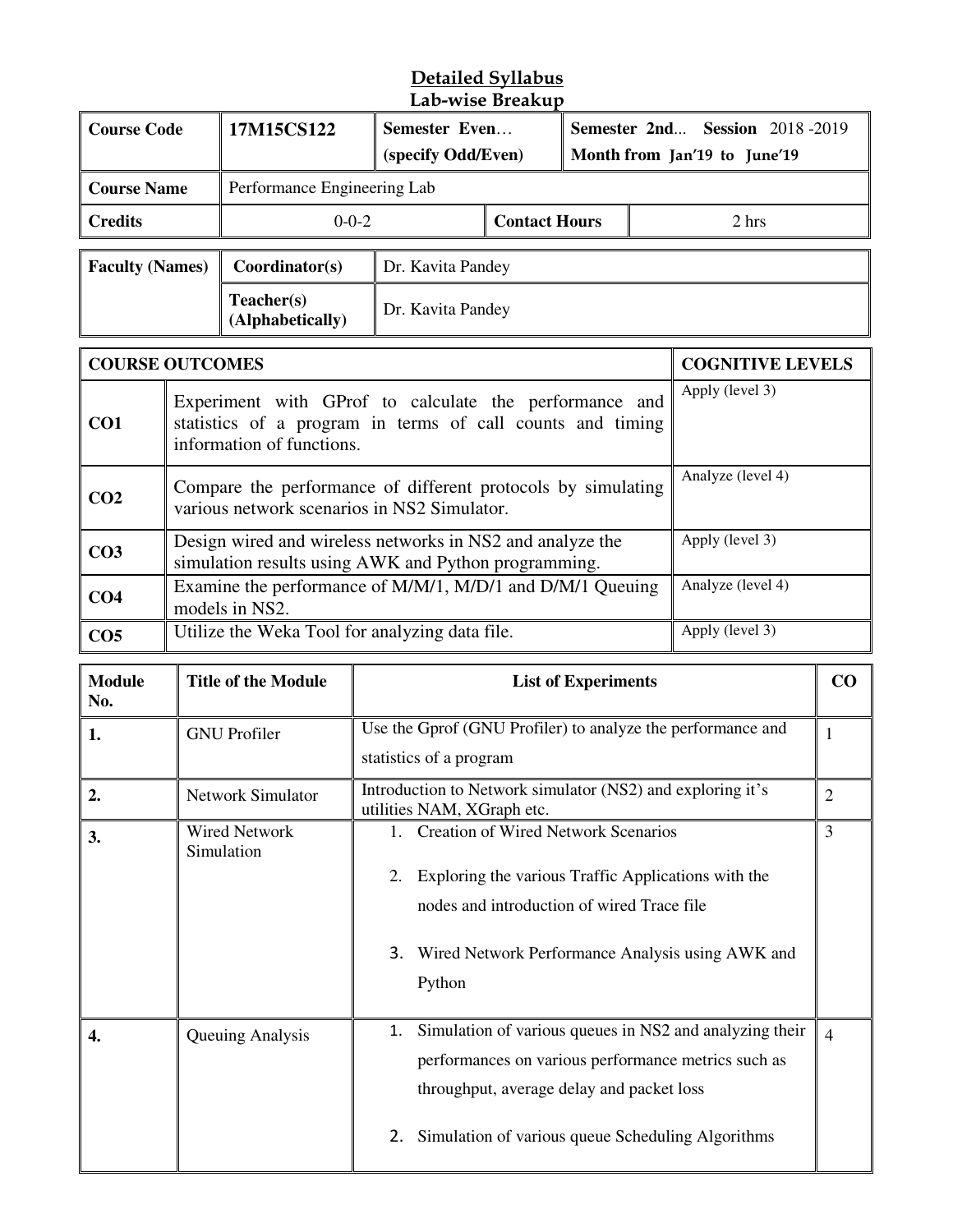#### **Detailed Syllabus Lab-wise Breakup**

| <b>Course Code</b>                                             |                                                                                                                                                                      | 17M15CS122                                                                                                        |                                                             | Semester Even<br>(specify Odd/Even) |  | <b>Semester 2nd Session 2018-2019</b><br>Month from Jan'19 to June'19 |                         |    |
|----------------------------------------------------------------|----------------------------------------------------------------------------------------------------------------------------------------------------------------------|-------------------------------------------------------------------------------------------------------------------|-------------------------------------------------------------|-------------------------------------|--|-----------------------------------------------------------------------|-------------------------|----|
| <b>Course Name</b>                                             |                                                                                                                                                                      | Performance Engineering Lab                                                                                       |                                                             |                                     |  |                                                                       |                         |    |
| $0 - 0 - 2$<br><b>Contact Hours</b><br><b>Credits</b><br>2 hrs |                                                                                                                                                                      |                                                                                                                   |                                                             |                                     |  |                                                                       |                         |    |
| <b>Faculty (Names)</b>                                         |                                                                                                                                                                      | Coordinator(s)                                                                                                    | Dr. Kavita Pandey                                           |                                     |  |                                                                       |                         |    |
|                                                                |                                                                                                                                                                      | Teacher(s)<br>(Alphabetically)                                                                                    | Dr. Kavita Pandey                                           |                                     |  |                                                                       |                         |    |
| <b>COURSE OUTCOMES</b>                                         |                                                                                                                                                                      |                                                                                                                   |                                                             |                                     |  |                                                                       | <b>COGNITIVE LEVELS</b> |    |
| CO1                                                            | Apply (level 3)<br>Experiment with GProf to calculate the performance and<br>statistics of a program in terms of call counts and timing<br>information of functions. |                                                                                                                   |                                                             |                                     |  |                                                                       |                         |    |
| CO <sub>2</sub>                                                |                                                                                                                                                                      | Compare the performance of different protocols by simulating<br>various network scenarios in NS2 Simulator.       |                                                             |                                     |  |                                                                       | Analyze (level 4)       |    |
| CO <sub>3</sub>                                                |                                                                                                                                                                      | Design wired and wireless networks in NS2 and analyze the<br>simulation results using AWK and Python programming. |                                                             |                                     |  |                                                                       | Apply (level 3)         |    |
| CO <sub>4</sub>                                                | Analyze (level 4)<br>Examine the performance of M/M/1, M/D/1 and D/M/1 Queuing<br>models in NS2.                                                                     |                                                                                                                   |                                                             |                                     |  |                                                                       |                         |    |
| CO <sub>5</sub>                                                | Apply (level 3)<br>Utilize the Weka Tool for analyzing data file.                                                                                                    |                                                                                                                   |                                                             |                                     |  |                                                                       |                         |    |
| <b>Module</b><br>No.                                           |                                                                                                                                                                      | <b>Title of the Module</b>                                                                                        |                                                             | <b>List of Experiments</b>          |  |                                                                       |                         | CO |
| 1.                                                             |                                                                                                                                                                      | <b>GNU</b> Profiler                                                                                               | Use the Gprof (GNU Profiler) to analyze the performance and |                                     |  |                                                                       |                         | 1  |

| 1. | <b>GNU</b> Profiler                | Use the Gprof (GNU Profiler) to analyze the performance and<br>statistics of a program                                                                                                                                 |                |  |  |  |  |
|----|------------------------------------|------------------------------------------------------------------------------------------------------------------------------------------------------------------------------------------------------------------------|----------------|--|--|--|--|
| 2. | <b>Network Simulator</b>           | Introduction to Network simulator (NS2) and exploring it's<br>$\overline{2}$<br>utilities NAM, XGraph etc.                                                                                                             |                |  |  |  |  |
| 3. | <b>Wired Network</b><br>Simulation | 1. Creation of Wired Network Scenarios<br>Exploring the various Traffic Applications with the<br>2.<br>nodes and introduction of wired Trace file<br>3. Wired Network Performance Analysis using AWK and<br>Python     | 3              |  |  |  |  |
| 4. | Queuing Analysis                   | 1. Simulation of various queues in NS2 and analyzing their<br>performances on various performance metrics such as<br>throughput, average delay and packet loss<br>2. Simulation of various queue Scheduling Algorithms | $\overline{4}$ |  |  |  |  |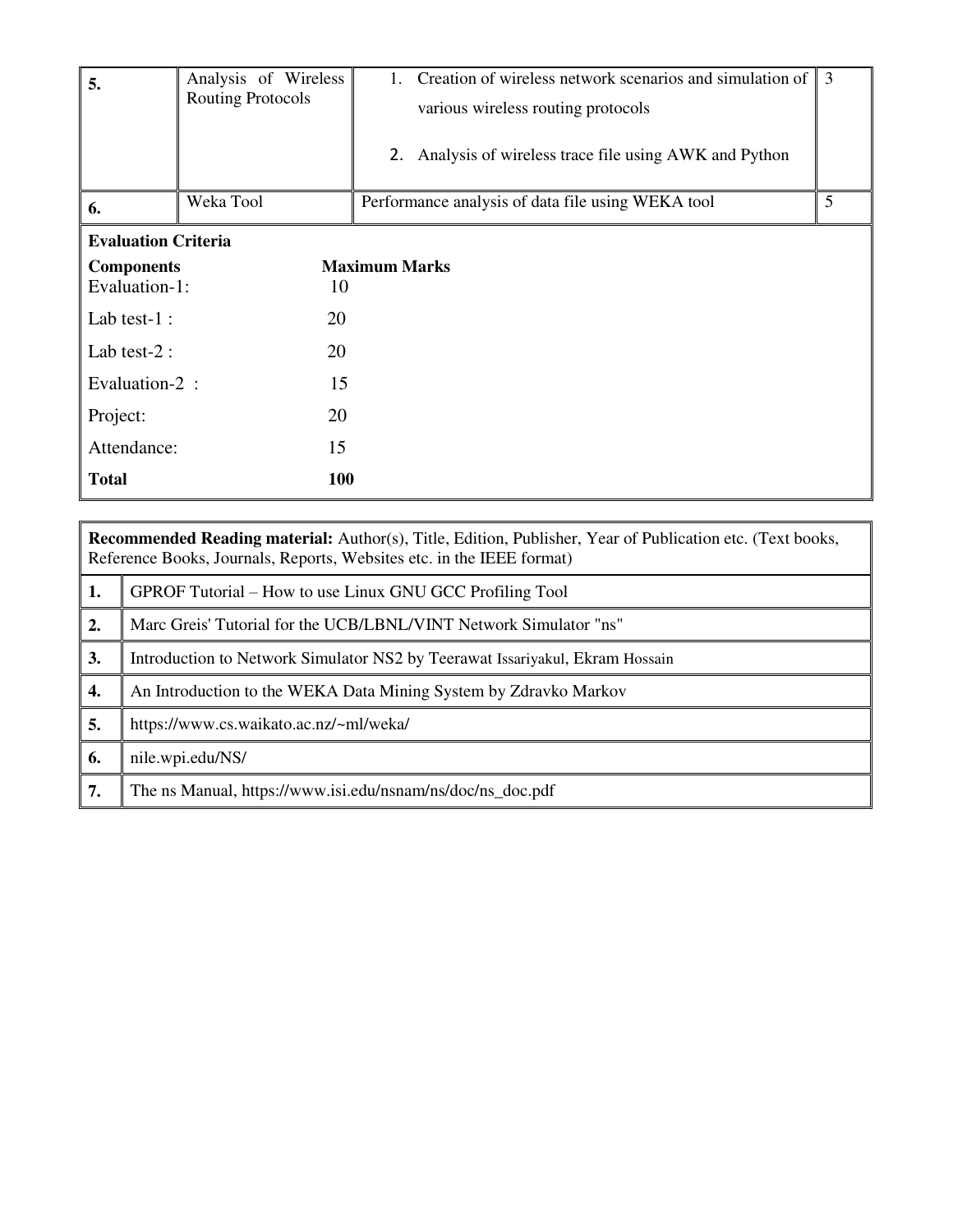| 5.                         | Analysis of Wireless<br><b>Routing Protocols</b> | 1. Creation of wireless network scenarios and simulation of $\parallel$ 3<br>various wireless routing protocols<br>2. Analysis of wireless trace file using AWK and Python |   |
|----------------------------|--------------------------------------------------|----------------------------------------------------------------------------------------------------------------------------------------------------------------------------|---|
| 6.                         | Weka Tool                                        | Performance analysis of data file using WEKA tool                                                                                                                          | 5 |
| <b>Evaluation Criteria</b> |                                                  |                                                                                                                                                                            |   |
| <b>Components</b>          |                                                  | <b>Maximum Marks</b>                                                                                                                                                       |   |
| Evaluation-1:              | 10                                               |                                                                                                                                                                            |   |
| Lab test- $1$ :            | 20                                               |                                                                                                                                                                            |   |
| Lab test- $2:$             | 20                                               |                                                                                                                                                                            |   |
| Evaluation-2 :             | 15                                               |                                                                                                                                                                            |   |
| Project:                   | 20                                               |                                                                                                                                                                            |   |
| Attendance:                | 15                                               |                                                                                                                                                                            |   |
| <b>Total</b>               | <b>100</b>                                       |                                                                                                                                                                            |   |

|    | <b>Recommended Reading material:</b> Author(s), Title, Edition, Publisher, Year of Publication etc. (Text books,<br>Reference Books, Journals, Reports, Websites etc. in the IEEE format) |  |  |  |  |
|----|-------------------------------------------------------------------------------------------------------------------------------------------------------------------------------------------|--|--|--|--|
| 1. | GPROF Tutorial – How to use Linux GNU GCC Profiling Tool                                                                                                                                  |  |  |  |  |
| 2. | Marc Greis' Tutorial for the UCB/LBNL/VINT Network Simulator "ns"                                                                                                                         |  |  |  |  |
| 3. | Introduction to Network Simulator NS2 by Teerawat Issariyakul, Ekram Hossain                                                                                                              |  |  |  |  |
| 4. | An Introduction to the WEKA Data Mining System by Zdravko Markov                                                                                                                          |  |  |  |  |
| 5. | https://www.cs.waikato.ac.nz/~ml/weka/                                                                                                                                                    |  |  |  |  |
| 6. | nile.wpi.edu/NS/                                                                                                                                                                          |  |  |  |  |
| 7. | The ns Manual, https://www.isi.edu/nsnam/ns/doc/ns_doc.pdf                                                                                                                                |  |  |  |  |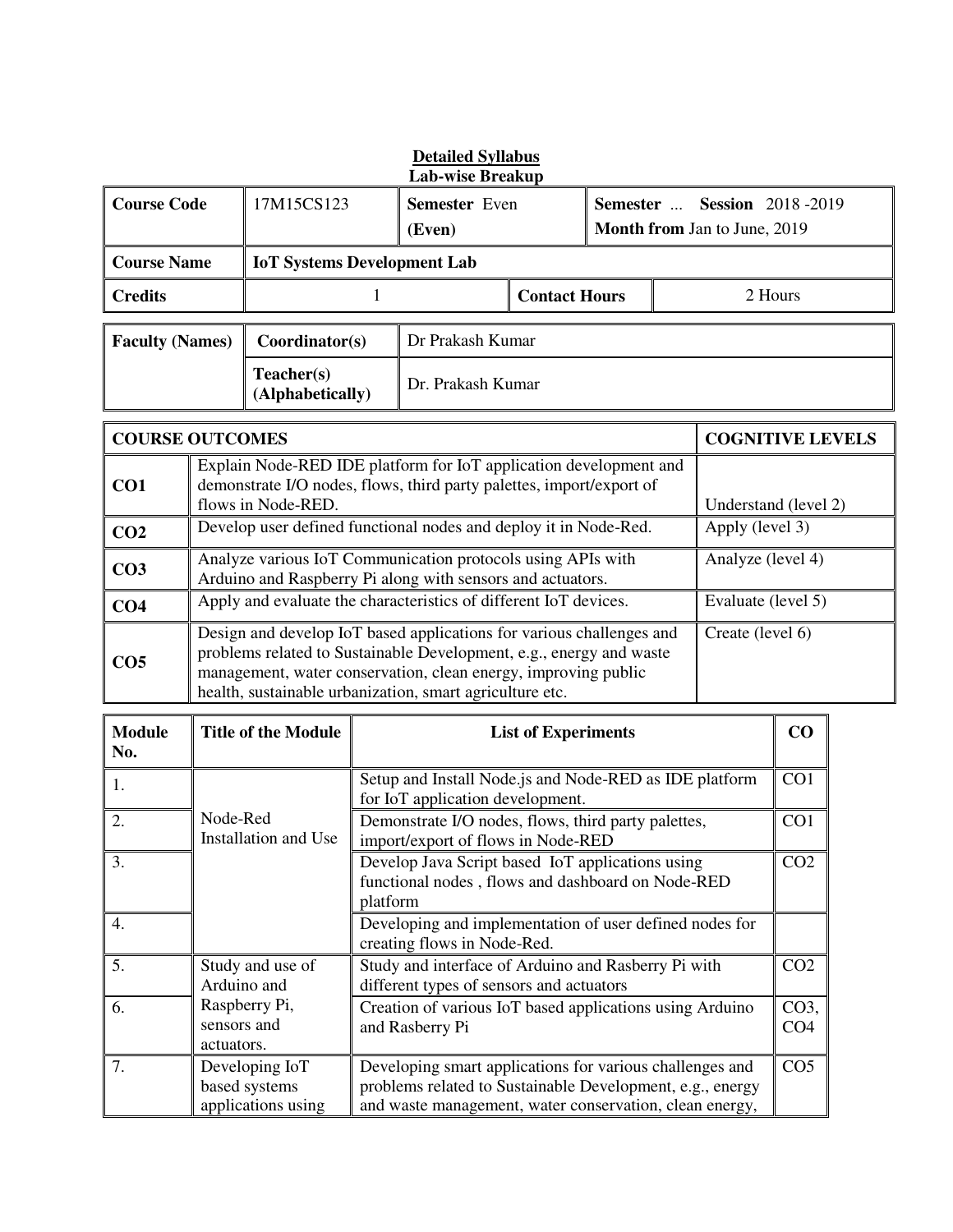| <b>Detailed Syllabus</b><br><b>Lab-wise Breakup</b> |                           |                                                                                                                                                                                                                                                                                               |                         |                                                                                                                                           |                                                                                            |                                                                    |  |                         |                         |  |
|-----------------------------------------------------|---------------------------|-----------------------------------------------------------------------------------------------------------------------------------------------------------------------------------------------------------------------------------------------------------------------------------------------|-------------------------|-------------------------------------------------------------------------------------------------------------------------------------------|--------------------------------------------------------------------------------------------|--------------------------------------------------------------------|--|-------------------------|-------------------------|--|
| <b>Course Code</b>                                  |                           | 17M15CS123                                                                                                                                                                                                                                                                                    | Semester Even<br>(Even) |                                                                                                                                           |                                                                                            | <b>Semester  Session 2018-2019</b><br>Month from Jan to June, 2019 |  |                         |                         |  |
| <b>Course Name</b>                                  |                           | <b>IoT Systems Development Lab</b>                                                                                                                                                                                                                                                            |                         |                                                                                                                                           |                                                                                            |                                                                    |  |                         |                         |  |
| <b>Credits</b>                                      |                           |                                                                                                                                                                                                                                                                                               | 1                       |                                                                                                                                           | <b>Contact Hours</b>                                                                       |                                                                    |  |                         | 2 Hours                 |  |
| <b>Faculty (Names)</b>                              |                           | Coordinator(s)                                                                                                                                                                                                                                                                                |                         | Dr Prakash Kumar                                                                                                                          |                                                                                            |                                                                    |  |                         |                         |  |
|                                                     |                           | Teacher(s)<br>(Alphabetically)                                                                                                                                                                                                                                                                |                         | Dr. Prakash Kumar                                                                                                                         |                                                                                            |                                                                    |  |                         |                         |  |
| <b>COURSE OUTCOMES</b>                              |                           |                                                                                                                                                                                                                                                                                               |                         |                                                                                                                                           |                                                                                            |                                                                    |  | <b>COGNITIVE LEVELS</b> |                         |  |
| CO <sub>1</sub>                                     |                           | flows in Node-RED.                                                                                                                                                                                                                                                                            |                         | Explain Node-RED IDE platform for IoT application development and<br>demonstrate I/O nodes, flows, third party palettes, import/export of |                                                                                            |                                                                    |  | Understand (level 2)    |                         |  |
| CO <sub>2</sub>                                     |                           |                                                                                                                                                                                                                                                                                               |                         | Develop user defined functional nodes and deploy it in Node-Red.                                                                          |                                                                                            |                                                                    |  | Apply (level 3)         |                         |  |
| CO <sub>3</sub>                                     |                           |                                                                                                                                                                                                                                                                                               |                         | Analyze various IoT Communication protocols using APIs with<br>Arduino and Raspberry Pi along with sensors and actuators.                 |                                                                                            |                                                                    |  | Analyze (level 4)       |                         |  |
| CO <sub>4</sub>                                     |                           |                                                                                                                                                                                                                                                                                               |                         | Apply and evaluate the characteristics of different IoT devices.                                                                          |                                                                                            |                                                                    |  | Evaluate (level 5)      |                         |  |
| CO <sub>5</sub>                                     |                           | Design and develop IoT based applications for various challenges and<br>Create (level 6)<br>problems related to Sustainable Development, e.g., energy and waste<br>management, water conservation, clean energy, improving public<br>health, sustainable urbanization, smart agriculture etc. |                         |                                                                                                                                           |                                                                                            |                                                                    |  |                         |                         |  |
| <b>Module</b><br>No.                                |                           | <b>Title of the Module</b>                                                                                                                                                                                                                                                                    |                         |                                                                                                                                           | <b>List of Experiments</b>                                                                 |                                                                    |  |                         | CO                      |  |
| 1.                                                  |                           |                                                                                                                                                                                                                                                                                               |                         |                                                                                                                                           | Setup and Install Node.js and Node-RED as IDE platform<br>for IoT application development. |                                                                    |  |                         | CO1                     |  |
| 2.                                                  | Node-Red                  | Installation and Use                                                                                                                                                                                                                                                                          |                         | Demonstrate I/O nodes, flows, third party palettes,<br>import/export of flows in Node-RED                                                 |                                                                                            |                                                                    |  | CO1                     |                         |  |
| 3.                                                  |                           | CO <sub>2</sub><br>Develop Java Script based IoT applications using<br>functional nodes, flows and dashboard on Node-RED<br>platform                                                                                                                                                          |                         |                                                                                                                                           |                                                                                            |                                                                    |  |                         |                         |  |
| 4.                                                  |                           | Developing and implementation of user defined nodes for<br>creating flows in Node-Red.                                                                                                                                                                                                        |                         |                                                                                                                                           |                                                                                            |                                                                    |  |                         |                         |  |
| 5.                                                  | Arduino and               | Study and use of                                                                                                                                                                                                                                                                              |                         | Study and interface of Arduino and Rasberry Pi with<br>different types of sensors and actuators                                           |                                                                                            |                                                                    |  |                         | CO <sub>2</sub>         |  |
| 6.                                                  | sensors and<br>actuators. | Raspberry Pi,                                                                                                                                                                                                                                                                                 |                         | Creation of various IoT based applications using Arduino<br>and Rasberry Pi                                                               |                                                                                            |                                                                    |  |                         | CO3,<br>CO <sub>4</sub> |  |
| 7.                                                  |                           | Developing IoT<br>based systems                                                                                                                                                                                                                                                               |                         | Developing smart applications for various challenges and<br>problems related to Sustainable Development, e.g., energy                     |                                                                                            |                                                                    |  |                         | CO <sub>5</sub>         |  |

and waste management, water conservation, clean energy,

applications using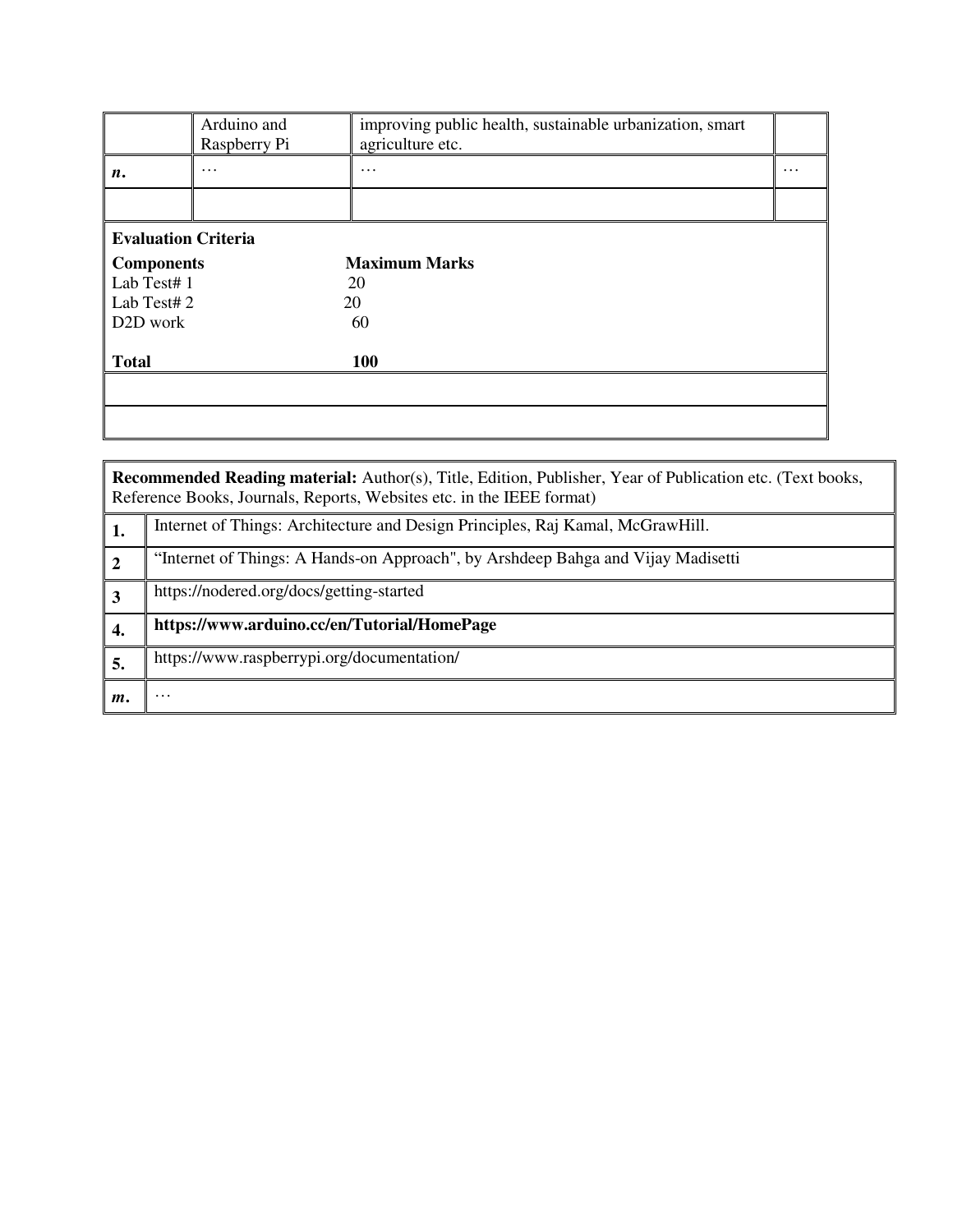|                            | Arduino and<br>Raspberry Pi | improving public health, sustainable urbanization, smart<br>agriculture etc. |          |  |  |  |  |
|----------------------------|-----------------------------|------------------------------------------------------------------------------|----------|--|--|--|--|
| n.                         | .                           | $\cdots$                                                                     | $\cdots$ |  |  |  |  |
|                            |                             |                                                                              |          |  |  |  |  |
| <b>Evaluation Criteria</b> |                             |                                                                              |          |  |  |  |  |
| <b>Components</b>          |                             | <b>Maximum Marks</b>                                                         |          |  |  |  |  |
| Lab Test# 1                |                             | 20                                                                           |          |  |  |  |  |
| Lab Test# 2                |                             | 20                                                                           |          |  |  |  |  |
| D <sub>2</sub> D work      |                             | 60                                                                           |          |  |  |  |  |
|                            |                             |                                                                              |          |  |  |  |  |
| <b>Total</b>               |                             | 100                                                                          |          |  |  |  |  |
|                            |                             |                                                                              |          |  |  |  |  |
|                            |                             |                                                                              |          |  |  |  |  |

**Recommended Reading material:** Author(s), Title, Edition, Publisher, Year of Publication etc. (Text books, Reference Books, Journals, Reports, Websites etc. in the IEEE format)

|      | Internet of Things: Architecture and Design Principles, Raj Kamal, McGrawHill.   |
|------|----------------------------------------------------------------------------------|
|      | "Internet of Things: A Hands-on Approach", by Arshdeep Bahga and Vijay Madisetti |
|      | https://nodered.org/docs/getting-started                                         |
| - 4. | https://www.arduino.cc/en/Tutorial/HomePage                                      |
| э.   | https://www.raspberrypi.org/documentation/                                       |
| т.   | $\cdots$                                                                         |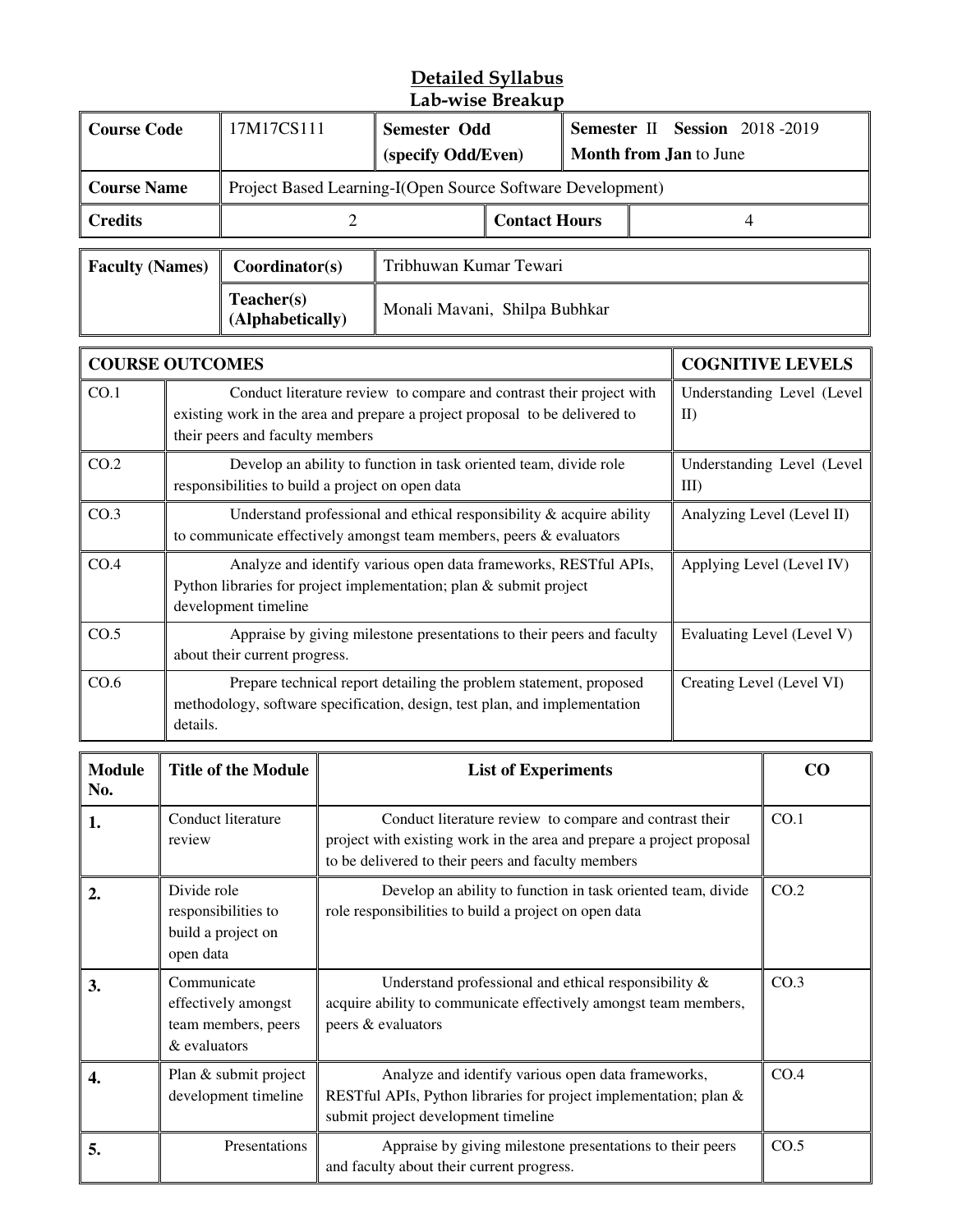#### **Detailed Syllabus Lab-wise Breakup**

| <b>Course Code</b>     |                                                                                                                                                                                             | 17M17CS111                                                                                                                                                                                         |                        | <b>Semester Odd</b><br>(specify Odd/Even) |  |  | Semester II Session 2018-2019<br>Month from Jan to June |  |
|------------------------|---------------------------------------------------------------------------------------------------------------------------------------------------------------------------------------------|----------------------------------------------------------------------------------------------------------------------------------------------------------------------------------------------------|------------------------|-------------------------------------------|--|--|---------------------------------------------------------|--|
| <b>Course Name</b>     |                                                                                                                                                                                             | Project Based Learning-I(Open Source Software Development)                                                                                                                                         |                        |                                           |  |  |                                                         |  |
| <b>Credits</b>         |                                                                                                                                                                                             | $\overline{2}$                                                                                                                                                                                     |                        | <b>Contact Hours</b>                      |  |  | $\overline{4}$                                          |  |
| <b>Faculty (Names)</b> |                                                                                                                                                                                             | Coordinator(s)                                                                                                                                                                                     | Tribhuwan Kumar Tewari |                                           |  |  |                                                         |  |
|                        |                                                                                                                                                                                             | Teacher(s)<br>Monali Mavani, Shilpa Bubhkar<br>(Alphabetically)                                                                                                                                    |                        |                                           |  |  |                                                         |  |
| <b>COURSE OUTCOMES</b> |                                                                                                                                                                                             |                                                                                                                                                                                                    |                        |                                           |  |  | <b>COGNITIVE LEVELS</b>                                 |  |
| CO.1                   |                                                                                                                                                                                             | Conduct literature review to compare and contrast their project with<br>existing work in the area and prepare a project proposal to be delivered to<br>$\rm II$<br>their peers and faculty members |                        |                                           |  |  | Understanding Level (Level                              |  |
| CO.2                   |                                                                                                                                                                                             | Develop an ability to function in task oriented team, divide role<br>responsibilities to build a project on open data<br>$III$ )                                                                   |                        |                                           |  |  | Understanding Level (Level                              |  |
| CO.3                   |                                                                                                                                                                                             | Understand professional and ethical responsibility & acquire ability<br>Analyzing Level (Level II)<br>to communicate effectively amongst team members, peers & evaluators                          |                        |                                           |  |  |                                                         |  |
| CO.4                   | Analyze and identify various open data frameworks, RESTful APIs,<br>Applying Level (Level IV)<br>Python libraries for project implementation; plan & submit project<br>development timeline |                                                                                                                                                                                                    |                        |                                           |  |  |                                                         |  |
| CO.5                   | Appraise by giving milestone presentations to their peers and faculty<br>Evaluating Level (Level V)<br>about their current progress.                                                        |                                                                                                                                                                                                    |                        |                                           |  |  |                                                         |  |
| CO.6                   | details.                                                                                                                                                                                    | Prepare technical report detailing the problem statement, proposed<br>methodology, software specification, design, test plan, and implementation                                                   |                        |                                           |  |  | Creating Level (Level VI)                               |  |

| <b>Module</b><br>No. | <b>Title of the Module</b>                                                | <b>List of Experiments</b>                                                                                                                                                             | CO   |
|----------------------|---------------------------------------------------------------------------|----------------------------------------------------------------------------------------------------------------------------------------------------------------------------------------|------|
| 1.                   | Conduct literature<br>review                                              | Conduct literature review to compare and contrast their<br>project with existing work in the area and prepare a project proposal<br>to be delivered to their peers and faculty members | CO.1 |
| $\mathbf{2}$         | Divide role<br>responsibilities to<br>build a project on<br>open data     | Develop an ability to function in task oriented team, divide<br>role responsibilities to build a project on open data                                                                  | CO.2 |
| 3.                   | Communicate<br>effectively amongst<br>team members, peers<br>& evaluators | Understand professional and ethical responsibility $\&$<br>acquire ability to communicate effectively amongst team members,<br>peers & evaluators                                      | CO.3 |
| 4.                   | Plan & submit project<br>development timeline                             | Analyze and identify various open data frameworks,<br>REST ful APIs, Python libraries for project implementation; plan &<br>submit project development timeline                        | CO.4 |
| 5.                   | Presentations                                                             | Appraise by giving milestone presentations to their peers<br>and faculty about their current progress.                                                                                 | CO.5 |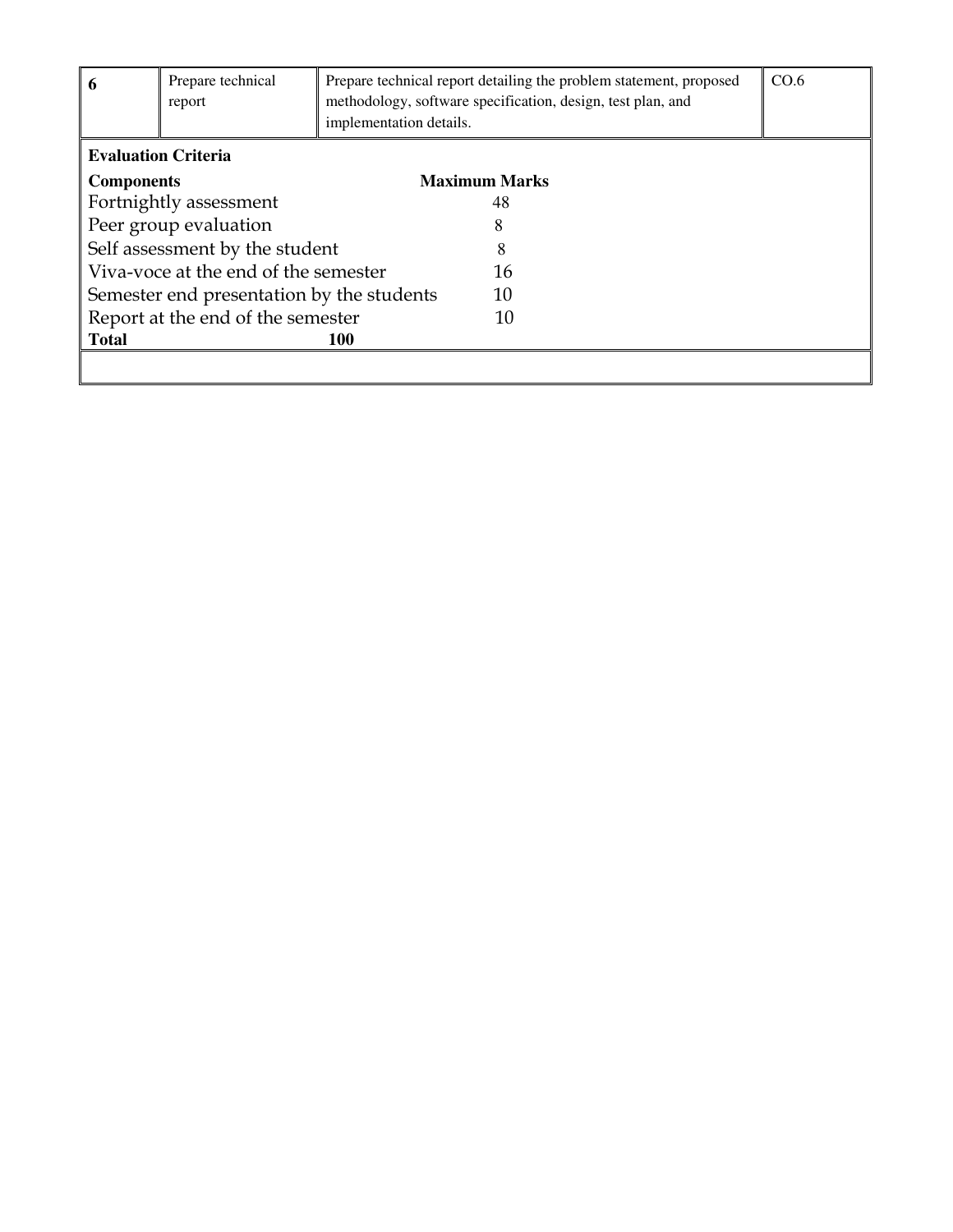| 6                                         | Prepare technical<br>report | implementation details. | Prepare technical report detailing the problem statement, proposed<br>methodology, software specification, design, test plan, and | CO.6 |
|-------------------------------------------|-----------------------------|-------------------------|-----------------------------------------------------------------------------------------------------------------------------------|------|
|                                           | <b>Evaluation Criteria</b>  |                         |                                                                                                                                   |      |
| <b>Components</b>                         |                             |                         | <b>Maximum Marks</b>                                                                                                              |      |
| Fortnightly assessment                    |                             | 48                      |                                                                                                                                   |      |
| Peer group evaluation                     |                             |                         |                                                                                                                                   |      |
| Self assessment by the student            |                             | 8                       |                                                                                                                                   |      |
| Viva-voce at the end of the semester      |                             | 16                      |                                                                                                                                   |      |
| Semester end presentation by the students |                             | 10                      |                                                                                                                                   |      |
| Report at the end of the semester         |                             | 10                      |                                                                                                                                   |      |
| <b>Total</b><br><b>100</b>                |                             |                         |                                                                                                                                   |      |
|                                           |                             |                         |                                                                                                                                   |      |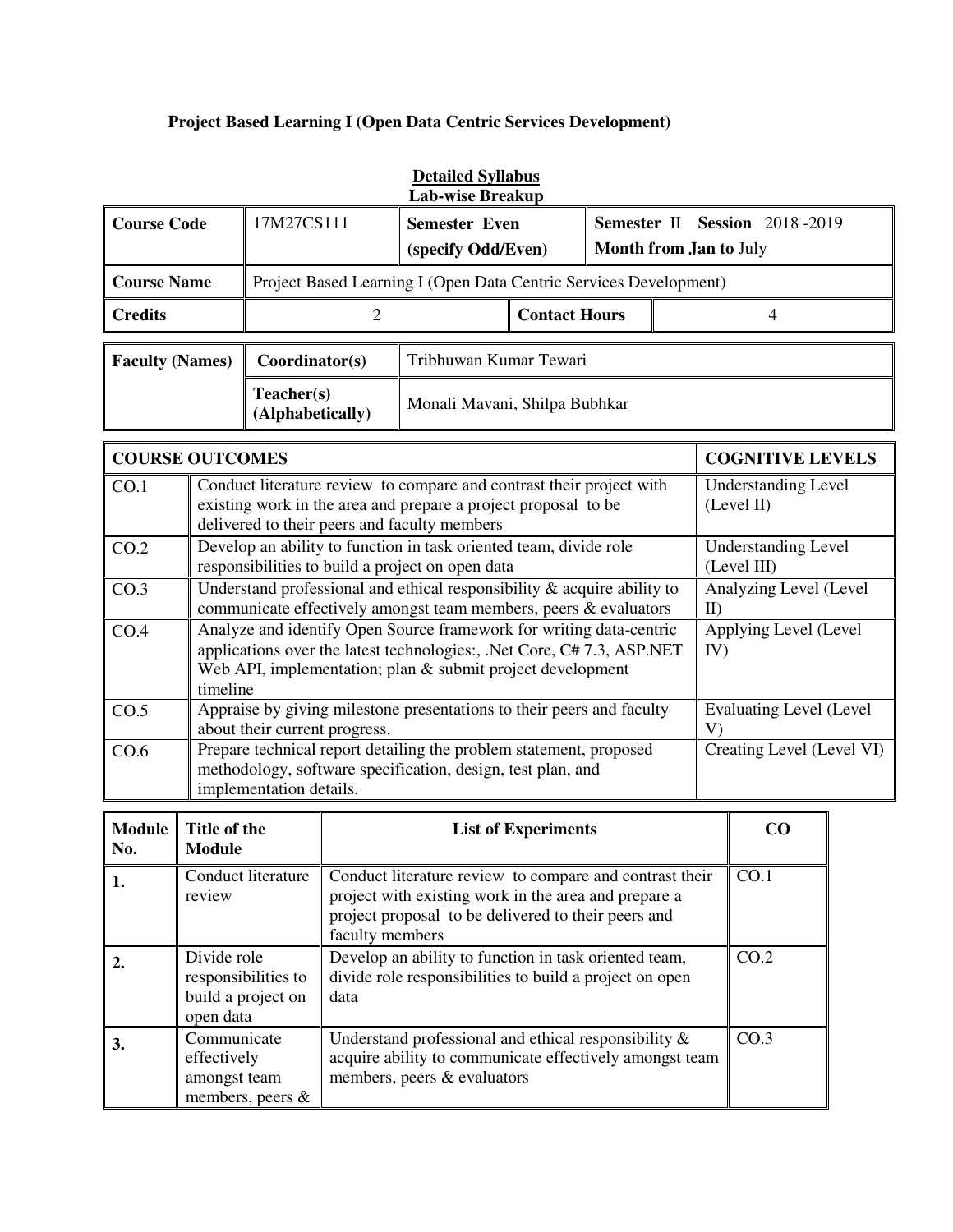### **Project Based Learning I (Open Data Centric Services Development)**

|                    |                                                                   | Detailed Dynabus<br><b>Lab-wise Breakup</b> |                      |                                                                |
|--------------------|-------------------------------------------------------------------|---------------------------------------------|----------------------|----------------------------------------------------------------|
| <b>Course Code</b> | 17M27CS111                                                        | <b>Semester Even</b><br>(specify Odd/Even)  |                      | Semester II Session 2018-2019<br><b>Month from Jan to July</b> |
| <b>Course Name</b> | Project Based Learning I (Open Data Centric Services Development) |                                             |                      |                                                                |
| <b>Credits</b>     |                                                                   |                                             | <b>Contact Hours</b> |                                                                |
|                    |                                                                   |                                             |                      |                                                                |

| <b>Detailed Syllabus</b> |
|--------------------------|
| Lah-wise Rreakun         |

| <b>Faculty (Names)</b> | Coordinator(s)                 | Tribhuwan Kumar Tewari        |
|------------------------|--------------------------------|-------------------------------|
|                        | Teacher(s)<br>(Alphabetically) | Monali Mavani, Shilpa Bubhkar |

|      | <b>COURSE OUTCOMES</b>                                                                                                                                                                                                  | <b>COGNITIVE LEVELS</b>                   |
|------|-------------------------------------------------------------------------------------------------------------------------------------------------------------------------------------------------------------------------|-------------------------------------------|
| CO.1 | Conduct literature review to compare and contrast their project with<br>existing work in the area and prepare a project proposal to be<br>delivered to their peers and faculty members                                  | <b>Understanding Level</b><br>(Level II)  |
| CO.2 | Develop an ability to function in task oriented team, divide role<br>responsibilities to build a project on open data                                                                                                   | <b>Understanding Level</b><br>(Level III) |
| CO.3 | Understand professional and ethical responsibility $\&$ acquire ability to<br>communicate effectively amongst team members, peers & evaluators                                                                          | Analyzing Level (Level<br>$\mathbf{I}$    |
| CO.4 | Analyze and identify Open Source framework for writing data-centric<br>applications over the latest technologies:, .Net Core, C# 7.3, ASP.NET<br>Web API, implementation; plan & submit project development<br>timeline | Applying Level (Level<br>IV)              |
| CO.5 | Appraise by giving milestone presentations to their peers and faculty<br>about their current progress.                                                                                                                  | <b>Evaluating Level (Level)</b><br>V)     |
| CO.6 | Prepare technical report detailing the problem statement, proposed<br>methodology, software specification, design, test plan, and<br>implementation details.                                                            | Creating Level (Level VI)                 |

| <b>Module</b><br>No. | Title of the<br><b>Module</b>                                         | <b>List of Experiments</b>                                                                                                                                                                | CO               |
|----------------------|-----------------------------------------------------------------------|-------------------------------------------------------------------------------------------------------------------------------------------------------------------------------------------|------------------|
| 1.                   | Conduct literature<br>review                                          | Conduct literature review to compare and contrast their<br>project with existing work in the area and prepare a<br>project proposal to be delivered to their peers and<br>faculty members | CO.1             |
|                      | Divide role<br>responsibilities to<br>build a project on<br>open data | Develop an ability to function in task oriented team,<br>divide role responsibilities to build a project on open<br>data                                                                  | CO.2             |
| 3.                   | Communicate<br>effectively<br>amongst team<br>members, peers $\&$     | Understand professional and ethical responsibility $\&$<br>acquire ability to communicate effectively amongst team<br>members, peers & evaluators                                         | CO <sub>.3</sub> |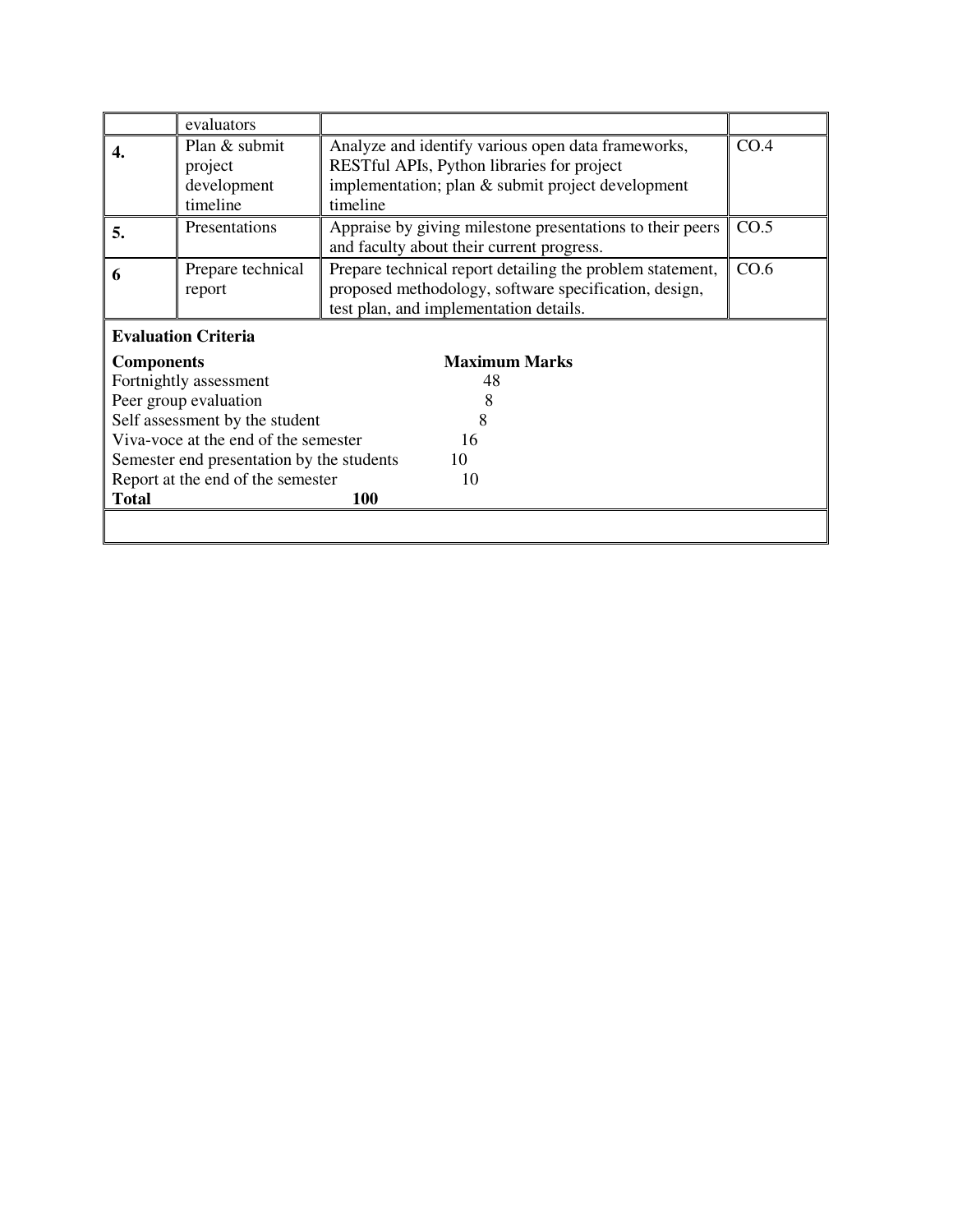|                                           | evaluators                        |                                                           |      |
|-------------------------------------------|-----------------------------------|-----------------------------------------------------------|------|
|                                           | Plan & submit                     | Analyze and identify various open data frameworks,        | CO.4 |
|                                           | project                           | REST ful APIs, Python libraries for project               |      |
|                                           | development                       | implementation; plan & submit project development         |      |
|                                           | timeline                          | timeline                                                  |      |
| 5.                                        | Presentations                     | Appraise by giving milestone presentations to their peers | CO.5 |
|                                           |                                   | and faculty about their current progress.                 |      |
| 6                                         | Prepare technical                 | Prepare technical report detailing the problem statement, | CO.6 |
|                                           | report                            | proposed methodology, software specification, design,     |      |
|                                           |                                   | test plan, and implementation details.                    |      |
|                                           | <b>Evaluation Criteria</b>        |                                                           |      |
| <b>Components</b>                         |                                   | <b>Maximum Marks</b>                                      |      |
| Fortnightly assessment                    |                                   | 48                                                        |      |
|                                           | Peer group evaluation             |                                                           |      |
|                                           | Self assessment by the student    | 8                                                         |      |
| Viva-voce at the end of the semester      |                                   | 16                                                        |      |
| Semester end presentation by the students |                                   | 10                                                        |      |
|                                           | Report at the end of the semester | 10                                                        |      |
| <b>Total</b>                              |                                   | <b>100</b>                                                |      |
|                                           |                                   |                                                           |      |
|                                           |                                   |                                                           |      |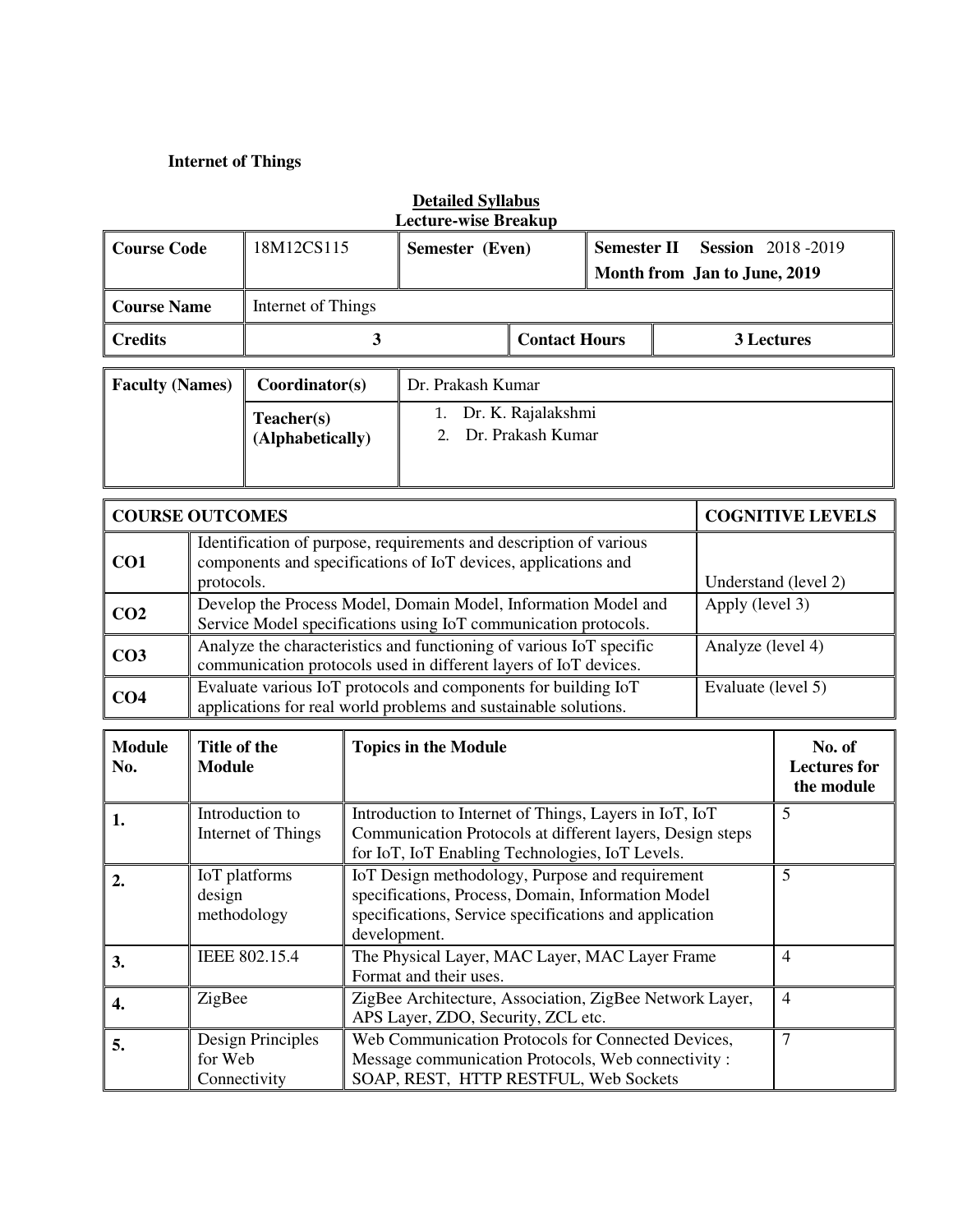#### **Internet of Things**

| <b>Course Code</b>     | 18M12CS115                     | Semester (Even)   |                                               | Semester II | <b>Session</b> 2018-2019<br>Month from Jan to June, 2019 |
|------------------------|--------------------------------|-------------------|-----------------------------------------------|-------------|----------------------------------------------------------|
| <b>Course Name</b>     | Internet of Things             |                   |                                               |             |                                                          |
| <b>Credits</b>         | 3                              |                   | <b>Contact Hours</b>                          |             | 3 Lectures                                               |
| <b>Faculty (Names)</b> | Coordinator(s)                 | Dr. Prakash Kumar |                                               |             |                                                          |
|                        | Teacher(s)<br>(Alphabetically) |                   | 1. Dr. K. Rajalakshmi<br>2. Dr. Prakash Kumar |             |                                                          |

| <b>COURSE OUTCOMES</b> |                                                                                                                                                    | <b>COGNITIVE LEVELS</b> |
|------------------------|----------------------------------------------------------------------------------------------------------------------------------------------------|-------------------------|
| CO <sub>1</sub>        | Identification of purpose, requirements and description of various<br>components and specifications of IoT devices, applications and<br>protocols. | Understand (level 2)    |
| CO <sub>2</sub>        | Develop the Process Model, Domain Model, Information Model and<br>Service Model specifications using IoT communication protocols.                  | Apply (level 3)         |
| CO <sub>3</sub>        | Analyze the characteristics and functioning of various IoT specific<br>communication protocols used in different layers of IoT devices.            | Analyze (level 4)       |
| CO <sub>4</sub>        | Evaluate various IoT protocols and components for building IoT<br>applications for real world problems and sustainable solutions.                  | Evaluate (level 5)      |

| <b>Module</b><br>No. | Title of the<br><b>Module</b>                | <b>Topics in the Module</b>                                                                                                                                                     | No. of<br><b>Lectures for</b><br>the module |
|----------------------|----------------------------------------------|---------------------------------------------------------------------------------------------------------------------------------------------------------------------------------|---------------------------------------------|
| 1.                   | Introduction to<br>Internet of Things        | Introduction to Internet of Things, Layers in IoT, IoT<br>Communication Protocols at different layers, Design steps<br>for IoT, IoT Enabling Technologies, IoT Levels.          | 5                                           |
| 2.                   | IoT platforms<br>design<br>methodology       | IoT Design methodology, Purpose and requirement<br>specifications, Process, Domain, Information Model<br>specifications, Service specifications and application<br>development. | 5                                           |
| 3.                   | IEEE 802.15.4                                | The Physical Layer, MAC Layer, MAC Layer Frame<br>Format and their uses.                                                                                                        | 4                                           |
| 4.                   | ZigBee                                       | ZigBee Architecture, Association, ZigBee Network Layer,<br>APS Layer, ZDO, Security, ZCL etc.                                                                                   | 4                                           |
| 5.                   | Design Principles<br>for Web<br>Connectivity | Web Communication Protocols for Connected Devices,<br>Message communication Protocols, Web connectivity:<br>SOAP, REST, HTTP RESTFUL, Web Sockets                               |                                             |

# **Detailed Syllabus**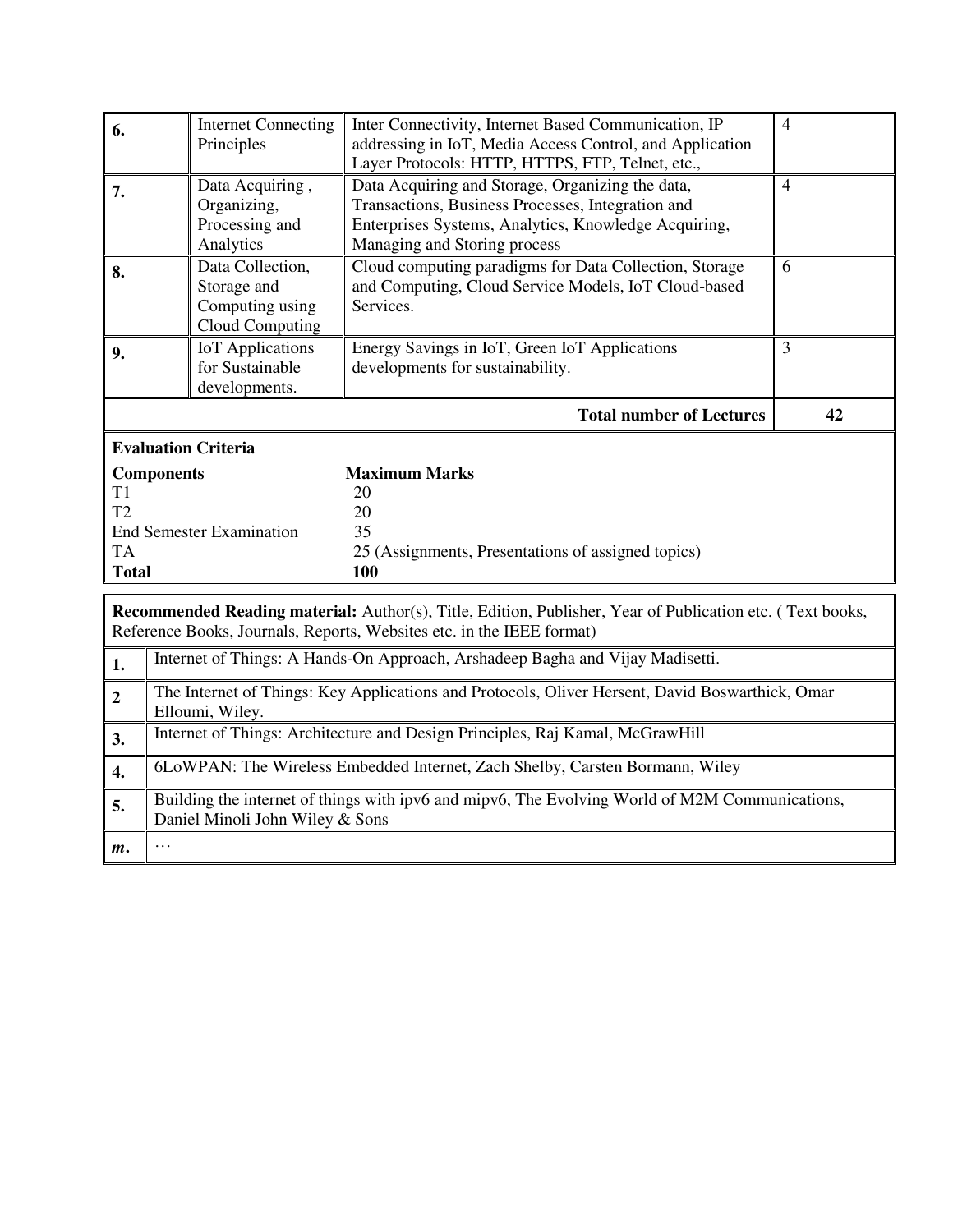| 6.                                                                                                 | <b>Internet Connecting</b><br>Principles                              | Inter Connectivity, Internet Based Communication, IP<br>addressing in IoT, Media Access Control, and Application<br>Layer Protocols: HTTP, HTTPS, FTP, Telnet, etc.,                          | $\overline{4}$ |
|----------------------------------------------------------------------------------------------------|-----------------------------------------------------------------------|-----------------------------------------------------------------------------------------------------------------------------------------------------------------------------------------------|----------------|
| 7.                                                                                                 | Data Acquiring,<br>Organizing,<br>Processing and<br>Analytics         | Data Acquiring and Storage, Organizing the data,<br>Transactions, Business Processes, Integration and<br>Enterprises Systems, Analytics, Knowledge Acquiring,<br>Managing and Storing process | $\overline{4}$ |
| 8.                                                                                                 | Data Collection,<br>Storage and<br>Computing using<br>Cloud Computing | Cloud computing paradigms for Data Collection, Storage<br>and Computing, Cloud Service Models, IoT Cloud-based<br>Services.                                                                   | 6              |
| 9.                                                                                                 | <b>IoT</b> Applications<br>for Sustainable<br>developments.           | Energy Savings in IoT, Green IoT Applications<br>developments for sustainability.                                                                                                             | 3              |
|                                                                                                    |                                                                       | <b>Total number of Lectures</b>                                                                                                                                                               | 42             |
| <b>Evaluation Criteria</b>                                                                         |                                                                       |                                                                                                                                                                                               |                |
| <b>Components</b><br>T1<br>T <sub>2</sub><br><b>End Semester Examination</b><br>TA<br><b>Total</b> |                                                                       | <b>Maximum Marks</b><br>20<br>20<br>35<br>25 (Assignments, Presentations of assigned topics)<br>100                                                                                           |                |

**Recommended Reading material:** Author(s), Title, Edition, Publisher, Year of Publication etc. ( Text books, Reference Books, Journals, Reports, Websites etc. in the IEEE format)

| 1.             | Internet of Things: A Hands-On Approach, Arshadeep Bagha and Vijay Madisetti.                                                     |
|----------------|-----------------------------------------------------------------------------------------------------------------------------------|
| $\overline{2}$ | The Internet of Things: Key Applications and Protocols, Oliver Hersent, David Boswarthick, Omar<br>Elloumi, Wiley.                |
| 3.             | Internet of Things: Architecture and Design Principles, Raj Kamal, McGrawHill                                                     |
| 4.             | 6LoWPAN: The Wireless Embedded Internet, Zach Shelby, Carsten Bormann, Wiley                                                      |
| 5.             | Building the internet of things with ipv6 and mipv6, The Evolving World of M2M Communications,<br>Daniel Minoli John Wiley & Sons |
| m.             | $\cdots$                                                                                                                          |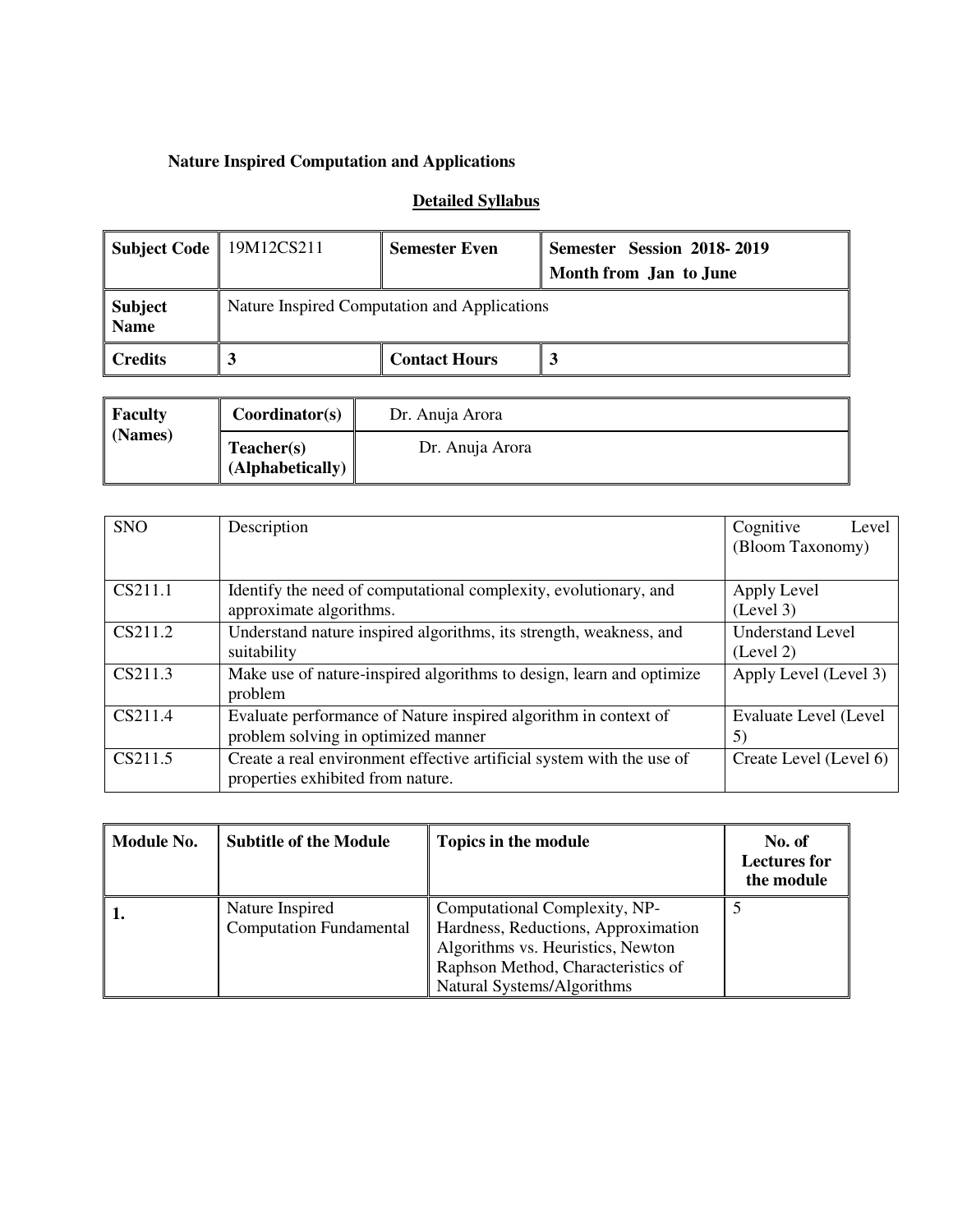### **Nature Inspired Computation and Applications**

### **Detailed Syllabus**

| Subject Code   19M12CS211 |                                              | <b>Semester Even</b> | <b>Semester Session 2018-2019</b><br>Month from Jan to June |
|---------------------------|----------------------------------------------|----------------------|-------------------------------------------------------------|
| Subject<br>  Name         | Nature Inspired Computation and Applications |                      |                                                             |
| Credits                   |                                              | <b>Contact Hours</b> |                                                             |

| <b>Faculty</b> | Coordinator(s)                 | Dr. Anuja Arora |
|----------------|--------------------------------|-----------------|
| (Names)        | Teacher(s)<br>(Alphabetically) | Dr. Anuja Arora |

| <b>SNO</b> | Description                                                                                                | Cognitive<br>Level<br>(Bloom Taxonomy) |
|------------|------------------------------------------------------------------------------------------------------------|----------------------------------------|
| CS211.1    | Identify the need of computational complexity, evolutionary, and<br>approximate algorithms.                | Apply Level<br>(Level 3)               |
| CS211.2    | Understand nature inspired algorithms, its strength, weakness, and<br>suitability                          | <b>Understand Level</b><br>(Level 2)   |
| CS211.3    | Make use of nature-inspired algorithms to design, learn and optimize<br>problem                            | Apply Level (Level 3)                  |
| CS211.4    | Evaluate performance of Nature inspired algorithm in context of<br>problem solving in optimized manner     | Evaluate Level (Level<br>5)            |
| CS211.5    | Create a real environment effective artificial system with the use of<br>properties exhibited from nature. | Create Level (Level 6)                 |

| Module No. | <b>Subtitle of the Module</b>                     | Topics in the module                                                                                                                            | No. of<br><b>Lectures for</b><br>the module |
|------------|---------------------------------------------------|-------------------------------------------------------------------------------------------------------------------------------------------------|---------------------------------------------|
| 1.         | Nature Inspired<br><b>Computation Fundamental</b> | Computational Complexity, NP-<br>Hardness, Reductions, Approximation<br>Algorithms vs. Heuristics, Newton<br>Raphson Method, Characteristics of |                                             |
|            |                                                   | Natural Systems/Algorithms                                                                                                                      |                                             |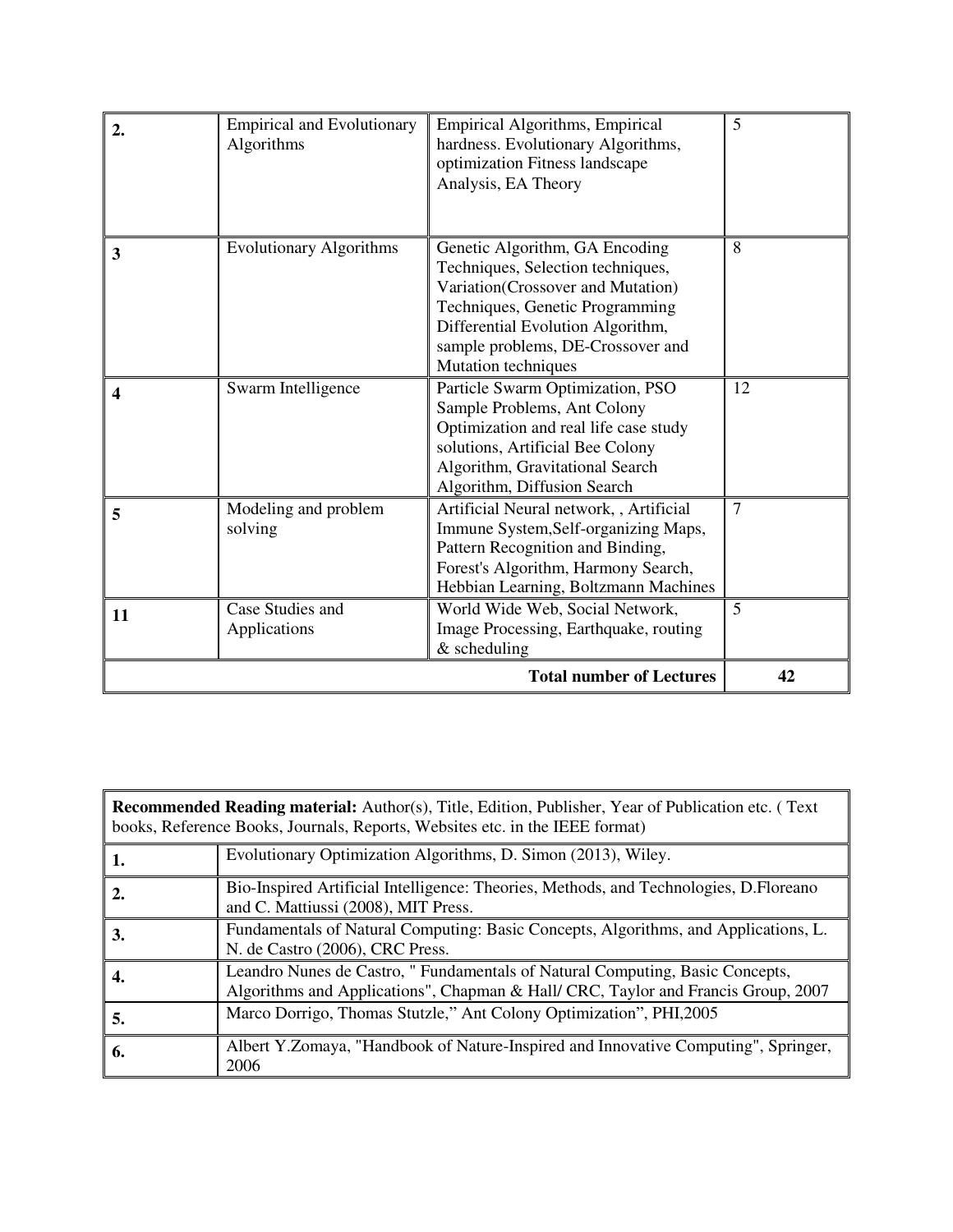| 2. | <b>Empirical and Evolutionary</b><br>Algorithms | Empirical Algorithms, Empirical<br>hardness. Evolutionary Algorithms,<br>optimization Fitness landscape<br>Analysis, EA Theory                                                                                                               | 5              |
|----|-------------------------------------------------|----------------------------------------------------------------------------------------------------------------------------------------------------------------------------------------------------------------------------------------------|----------------|
| 3  | <b>Evolutionary Algorithms</b>                  | Genetic Algorithm, GA Encoding<br>Techniques, Selection techniques,<br>Variation(Crossover and Mutation)<br>Techniques, Genetic Programming<br>Differential Evolution Algorithm,<br>sample problems, DE-Crossover and<br>Mutation techniques | 8              |
| 4  | Swarm Intelligence                              | Particle Swarm Optimization, PSO<br>Sample Problems, Ant Colony<br>Optimization and real life case study<br>solutions, Artificial Bee Colony<br>Algorithm, Gravitational Search<br>Algorithm, Diffusion Search                               | 12             |
| 5  | Modeling and problem<br>solving                 | Artificial Neural network, , Artificial<br>Immune System, Self-organizing Maps,<br>Pattern Recognition and Binding,<br>Forest's Algorithm, Harmony Search,<br>Hebbian Learning, Boltzmann Machines                                           | $\overline{7}$ |
| 11 | Case Studies and<br>Applications                | World Wide Web, Social Network,<br>Image Processing, Earthquake, routing<br>$&$ scheduling                                                                                                                                                   | 5              |
|    |                                                 | <b>Total number of Lectures</b>                                                                                                                                                                                                              | 42             |

| <b>Recommended Reading material:</b> Author(s), Title, Edition, Publisher, Year of Publication etc. (Text<br>books, Reference Books, Journals, Reports, Websites etc. in the IEEE format) |                                                                                                                                                                   |  |
|-------------------------------------------------------------------------------------------------------------------------------------------------------------------------------------------|-------------------------------------------------------------------------------------------------------------------------------------------------------------------|--|
| 1.                                                                                                                                                                                        | Evolutionary Optimization Algorithms, D. Simon (2013), Wiley.                                                                                                     |  |
| 2.                                                                                                                                                                                        | Bio-Inspired Artificial Intelligence: Theories, Methods, and Technologies, D.Floreano<br>and C. Mattiussi (2008), MIT Press.                                      |  |
| 3.                                                                                                                                                                                        | Fundamentals of Natural Computing: Basic Concepts, Algorithms, and Applications, L.<br>N. de Castro (2006), CRC Press.                                            |  |
| 4.                                                                                                                                                                                        | Leandro Nunes de Castro, "Fundamentals of Natural Computing, Basic Concepts,<br>Algorithms and Applications", Chapman & Hall/ CRC, Taylor and Francis Group, 2007 |  |
| 5.                                                                                                                                                                                        | Marco Dorrigo, Thomas Stutzle," Ant Colony Optimization", PHI,2005                                                                                                |  |
| 6.                                                                                                                                                                                        | Albert Y.Zomaya, "Handbook of Nature-Inspired and Innovative Computing", Springer,<br>2006                                                                        |  |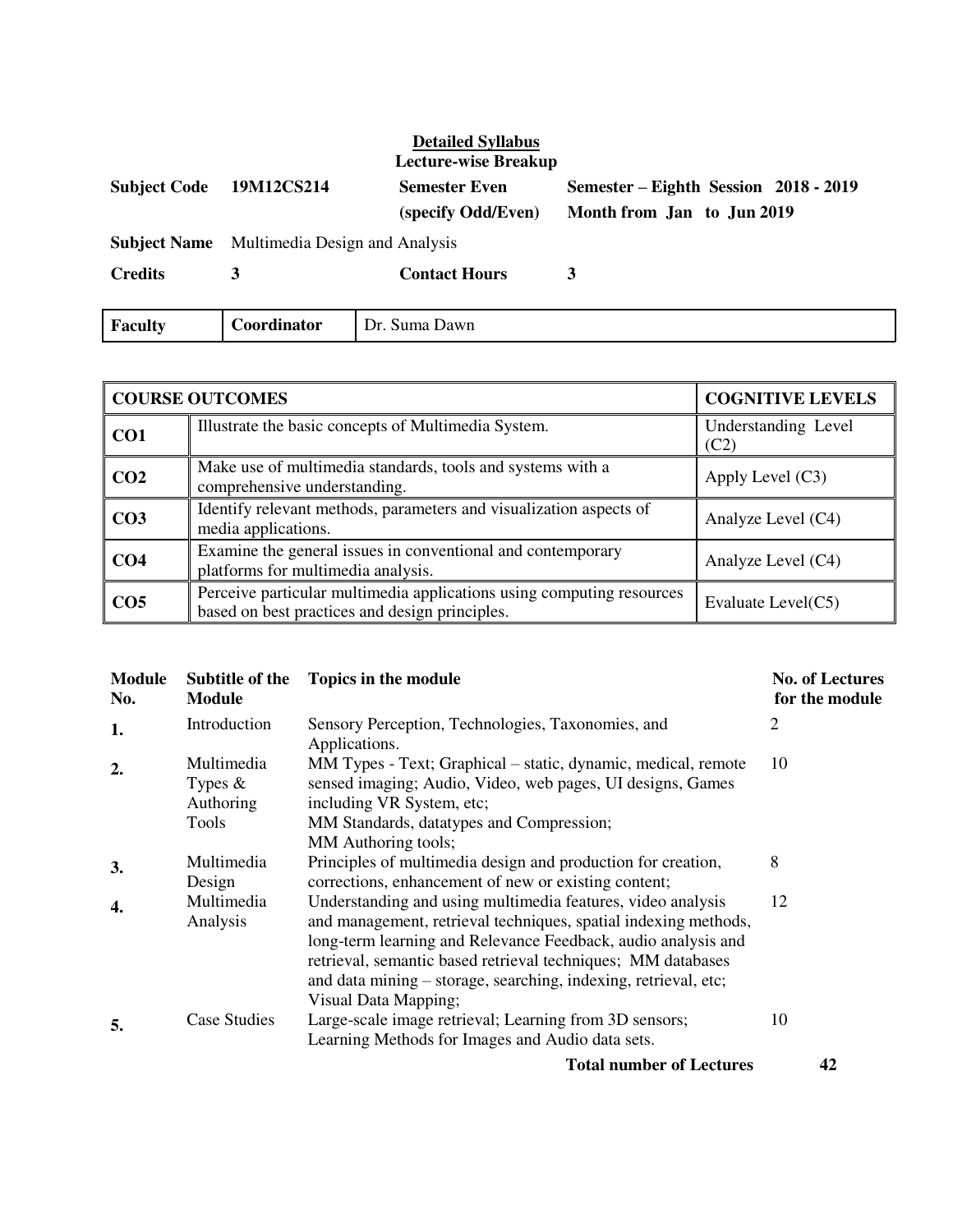## **Detailed Syllabus**

|                     |                                                    | <b>Lecture-wise Breakup</b>                |                                                                     |
|---------------------|----------------------------------------------------|--------------------------------------------|---------------------------------------------------------------------|
| <b>Subject Code</b> | 19M12CS214                                         | <b>Semester Even</b><br>(specify Odd/Even) | Semester – Eighth Session 2018 - 2019<br>Month from Jan to Jun 2019 |
|                     | <b>Subject Name</b> Multimedia Design and Analysis |                                            |                                                                     |
| <b>Credits</b>      | 3                                                  | <b>Contact Hours</b>                       | 3                                                                   |
| <b>Faculty</b>      | Coordinator                                        | Dr. Suma Dawn                              |                                                                     |

| <b>COURSE OUTCOMES</b> |                                                                                                                         | <b>COGNITIVE LEVELS</b>     |
|------------------------|-------------------------------------------------------------------------------------------------------------------------|-----------------------------|
| CO <sub>1</sub>        | Illustrate the basic concepts of Multimedia System.                                                                     | Understanding Level<br>(C2) |
| CO <sub>2</sub>        | Make use of multimedia standards, tools and systems with a<br>comprehensive understanding.                              | Apply Level $(C3)$          |
| CO <sub>3</sub>        | Identify relevant methods, parameters and visualization aspects of<br>media applications.                               | Analyze Level (C4)          |
| CO <sub>4</sub>        | Examine the general issues in conventional and contemporary<br>platforms for multimedia analysis.                       | Analyze Level (C4)          |
| CO <sub>5</sub>        | Perceive particular multimedia applications using computing resources<br>based on best practices and design principles. | Evaluate Level(C5)          |

| <b>Module</b><br>No. | Subtitle of the<br><b>Module</b>               | Topics in the module                                                                                                                                                                                                                                                                                                                                       | <b>No. of Lectures</b><br>for the module |
|----------------------|------------------------------------------------|------------------------------------------------------------------------------------------------------------------------------------------------------------------------------------------------------------------------------------------------------------------------------------------------------------------------------------------------------------|------------------------------------------|
| 1.                   | Introduction                                   | Sensory Perception, Technologies, Taxonomies, and<br>Applications.                                                                                                                                                                                                                                                                                         | 2                                        |
| $\overline{2}$       | Multimedia<br>Types $\&$<br>Authoring<br>Tools | MM Types - Text; Graphical – static, dynamic, medical, remote<br>sensed imaging; Audio, Video, web pages, UI designs, Games<br>including VR System, etc;<br>MM Standards, datatypes and Compression;<br>MM Authoring tools;                                                                                                                                | 10                                       |
| 3.                   | Multimedia<br>Design                           | Principles of multimedia design and production for creation,<br>corrections, enhancement of new or existing content;                                                                                                                                                                                                                                       | 8                                        |
| 4.                   | Multimedia<br>Analysis                         | Understanding and using multimedia features, video analysis<br>and management, retrieval techniques, spatial indexing methods,<br>long-term learning and Relevance Feedback, audio analysis and<br>retrieval, semantic based retrieval techniques; MM databases<br>and data mining – storage, searching, indexing, retrieval, etc;<br>Visual Data Mapping; | 12                                       |
| 5.                   | Case Studies                                   | Large-scale image retrieval; Learning from 3D sensors;<br>Learning Methods for Images and Audio data sets.<br><b>PRODUCTS 2009 - 2009 - 2009 - 2009 - 2009 - 2009 - 2009 - 2009 - 2009 - 2009 - 2009</b><br>$\mathbf{a}$ $\mathbf{v}$ $\mathbf{v}$                                                                                                         | 10                                       |

**Total number of Lectures 42**